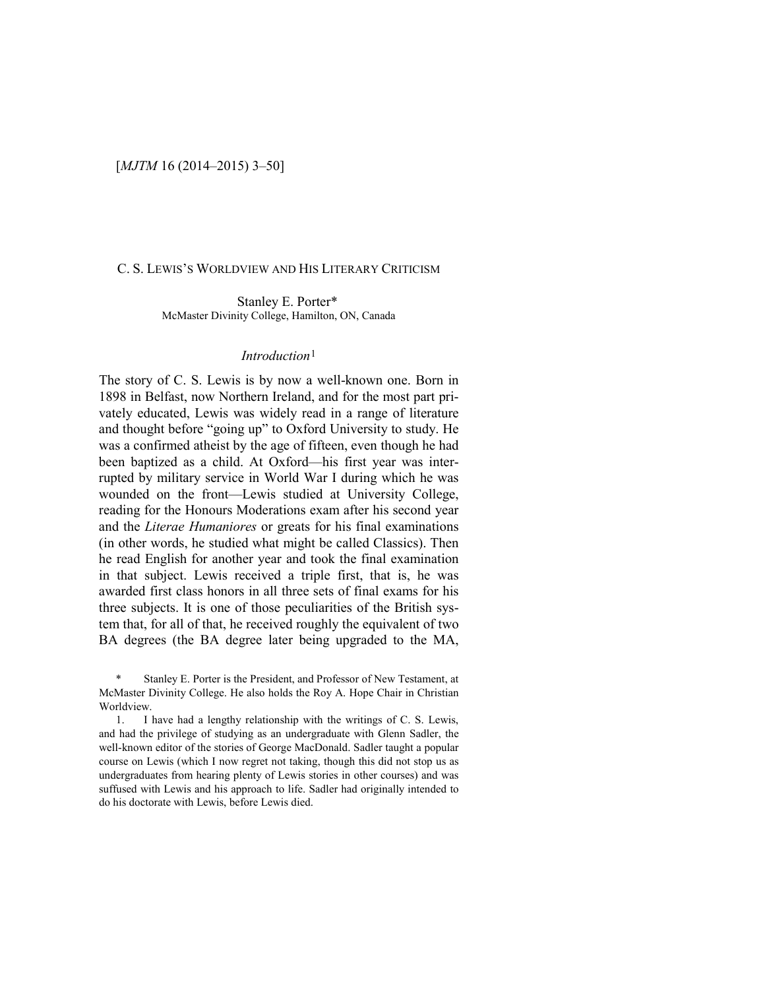### C. S. LEWIS'S WORLDVIEW AND HIS LITERARY CRITICISM

Stanley E. Porter\* McMaster Divinity College, Hamilton, ON, Canada

### *Introduction*[1](#page-0-0)

The story of C. S. Lewis is by now a well-known one. Born in 1898 in Belfast, now Northern Ireland, and for the most part privately educated, Lewis was widely read in a range of literature and thought before "going up" to Oxford University to study. He was a confirmed atheist by the age of fifteen, even though he had been baptized as a child. At Oxford—his first year was interrupted by military service in World War I during which he was wounded on the front—Lewis studied at University College, reading for the Honours Moderations exam after his second year and the *Literae Humaniores* or greats for his final examinations (in other words, he studied what might be called Classics). Then he read English for another year and took the final examination in that subject. Lewis received a triple first, that is, he was awarded first class honors in all three sets of final exams for his three subjects. It is one of those peculiarities of the British system that, for all of that, he received roughly the equivalent of two BA degrees (the BA degree later being upgraded to the MA,

<span id="page-0-0"></span>Stanley E. Porter is the President, and Professor of New Testament, at McMaster Divinity College. He also holds the Roy A. Hope Chair in Christian Worldview.

1. I have had a lengthy relationship with the writings of C. S. Lewis, and had the privilege of studying as an undergraduate with Glenn Sadler, the well-known editor of the stories of George MacDonald. Sadler taught a popular course on Lewis (which I now regret not taking, though this did not stop us as undergraduates from hearing plenty of Lewis stories in other courses) and was suffused with Lewis and his approach to life. Sadler had originally intended to do his doctorate with Lewis, before Lewis died.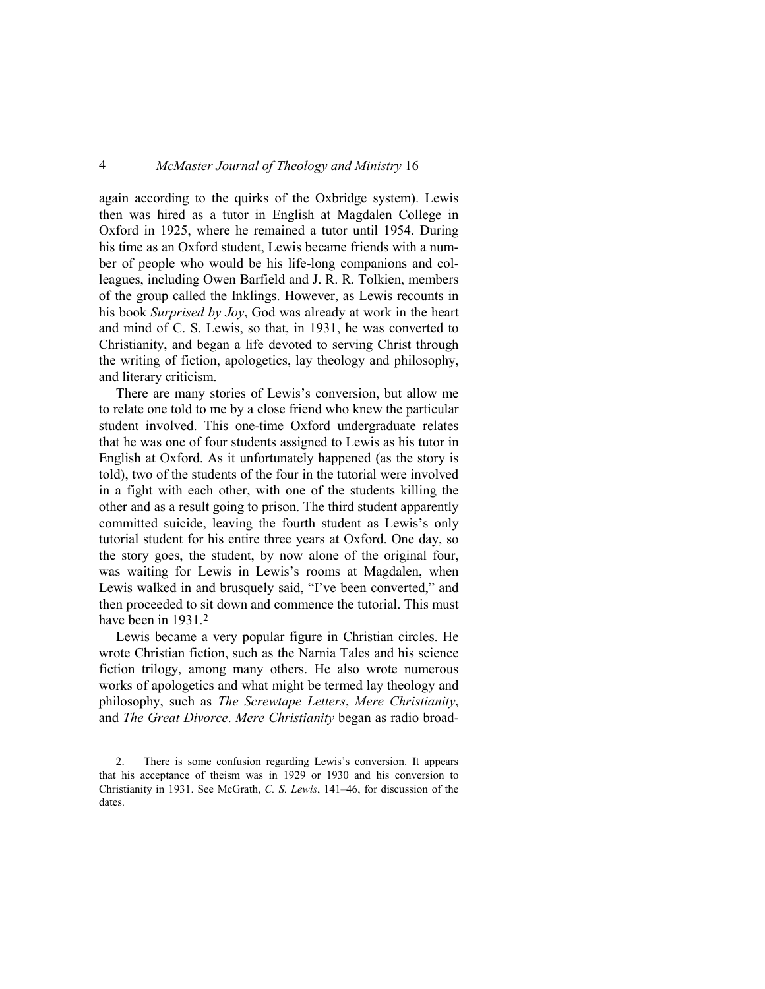again according to the quirks of the Oxbridge system). Lewis then was hired as a tutor in English at Magdalen College in Oxford in 1925, where he remained a tutor until 1954. During his time as an Oxford student, Lewis became friends with a number of people who would be his life-long companions and colleagues, including Owen Barfield and J. R. R. Tolkien, members of the group called the Inklings. However, as Lewis recounts in his book *Surprised by Joy*, God was already at work in the heart and mind of C. S. Lewis, so that, in 1931, he was converted to Christianity, and began a life devoted to serving Christ through the writing of fiction, apologetics, lay theology and philosophy, and literary criticism.

There are many stories of Lewis's conversion, but allow me to relate one told to me by a close friend who knew the particular student involved. This one-time Oxford undergraduate relates that he was one of four students assigned to Lewis as his tutor in English at Oxford. As it unfortunately happened (as the story is told), two of the students of the four in the tutorial were involved in a fight with each other, with one of the students killing the other and as a result going to prison. The third student apparently committed suicide, leaving the fourth student as Lewis's only tutorial student for his entire three years at Oxford. One day, so the story goes, the student, by now alone of the original four, was waiting for Lewis in Lewis's rooms at Magdalen, when Lewis walked in and brusquely said, "I've been converted," and then proceeded to sit down and commence the tutorial. This must have been in 1931.<sup>[2](#page-1-0)</sup>

Lewis became a very popular figure in Christian circles. He wrote Christian fiction, such as the Narnia Tales and his science fiction trilogy, among many others. He also wrote numerous works of apologetics and what might be termed lay theology and philosophy, such as *The Screwtape Letters*, *Mere Christianity*, and *The Great Divorce*. *Mere Christianity* began as radio broad-

<span id="page-1-0"></span><sup>2.</sup> There is some confusion regarding Lewis's conversion. It appears that his acceptance of theism was in 1929 or 1930 and his conversion to Christianity in 1931. See McGrath, *C. S. Lewis*, 141–46, for discussion of the dates.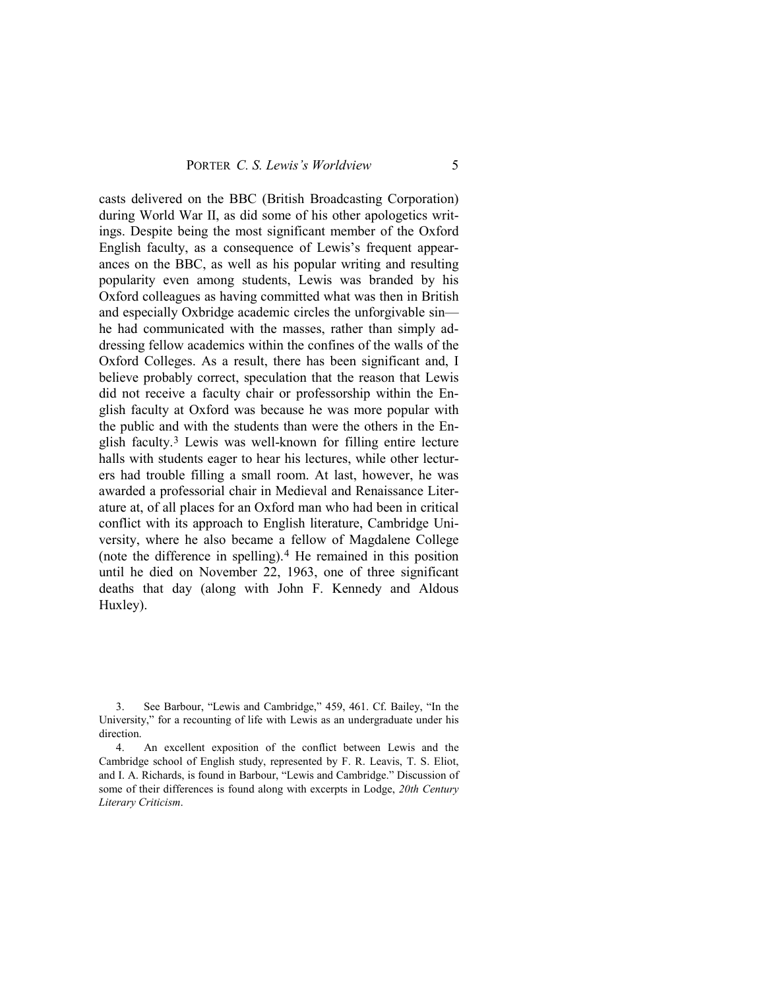casts delivered on the BBC (British Broadcasting Corporation) during World War II, as did some of his other apologetics writings. Despite being the most significant member of the Oxford English faculty, as a consequence of Lewis's frequent appearances on the BBC, as well as his popular writing and resulting popularity even among students, Lewis was branded by his Oxford colleagues as having committed what was then in British and especially Oxbridge academic circles the unforgivable sin he had communicated with the masses, rather than simply addressing fellow academics within the confines of the walls of the Oxford Colleges. As a result, there has been significant and, I believe probably correct, speculation that the reason that Lewis did not receive a faculty chair or professorship within the English faculty at Oxford was because he was more popular with the public and with the students than were the others in the English faculty.[3](#page-2-0) Lewis was well-known for filling entire lecture halls with students eager to hear his lectures, while other lecturers had trouble filling a small room. At last, however, he was awarded a professorial chair in Medieval and Renaissance Literature at, of all places for an Oxford man who had been in critical conflict with its approach to English literature, Cambridge University, where he also became a fellow of Magdalene College (note the difference in spelling). $4$  He remained in this position until he died on November 22, 1963, one of three significant deaths that day (along with John F. Kennedy and Aldous Huxley).

<span id="page-2-0"></span><sup>3.</sup> See Barbour, "Lewis and Cambridge," 459, 461. Cf. Bailey, "In the University," for a recounting of life with Lewis as an undergraduate under his direction.

<span id="page-2-1"></span><sup>4.</sup> An excellent exposition of the conflict between Lewis and the Cambridge school of English study, represented by F. R. Leavis, T. S. Eliot, and I. A. Richards, is found in Barbour, "Lewis and Cambridge." Discussion of some of their differences is found along with excerpts in Lodge, *20th Century Literary Criticism*.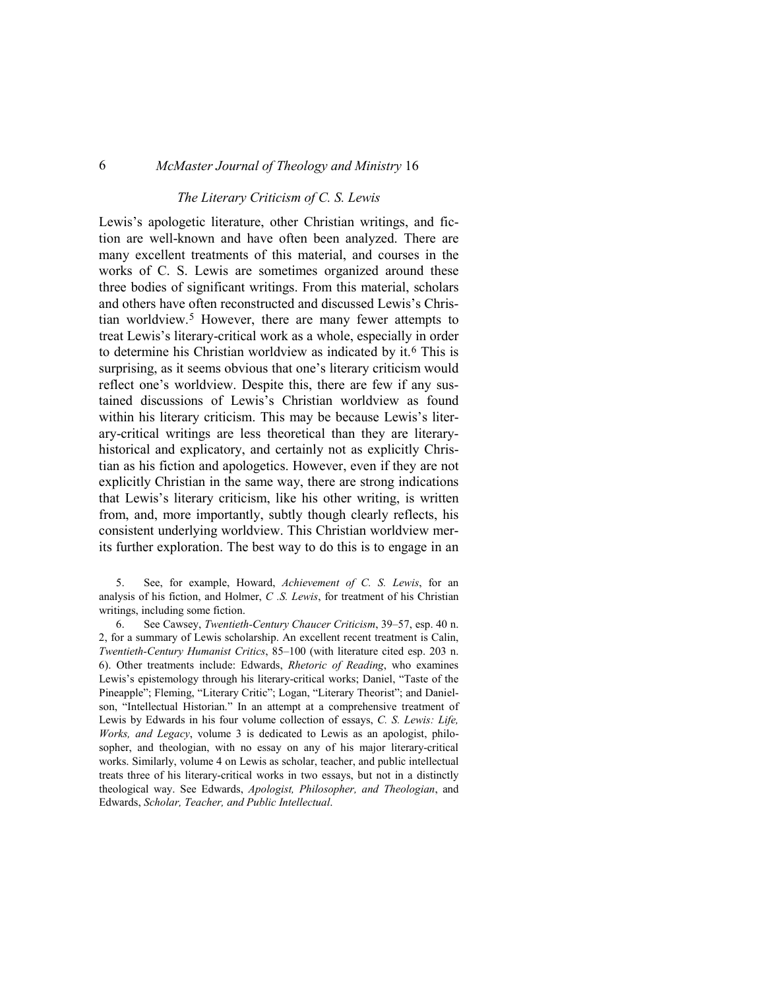### *The Literary Criticism of C. S. Lewis*

Lewis's apologetic literature, other Christian writings, and fiction are well-known and have often been analyzed. There are many excellent treatments of this material, and courses in the works of C. S. Lewis are sometimes organized around these three bodies of significant writings. From this material, scholars and others have often reconstructed and discussed Lewis's Christian worldview[.5](#page-3-0) However, there are many fewer attempts to treat Lewis's literary-critical work as a whole, especially in order to determine his Christian worldview as indicated by it[.6](#page-3-1) This is surprising, as it seems obvious that one's literary criticism would reflect one's worldview. Despite this, there are few if any sustained discussions of Lewis's Christian worldview as found within his literary criticism. This may be because Lewis's literary-critical writings are less theoretical than they are literaryhistorical and explicatory, and certainly not as explicitly Christian as his fiction and apologetics. However, even if they are not explicitly Christian in the same way, there are strong indications that Lewis's literary criticism, like his other writing, is written from, and, more importantly, subtly though clearly reflects, his consistent underlying worldview. This Christian worldview merits further exploration. The best way to do this is to engage in an

<span id="page-3-0"></span>5. See, for example, Howard, *Achievement of C. S. Lewis*, for an analysis of his fiction, and Holmer, *C .S. Lewis*, for treatment of his Christian writings, including some fiction.

<span id="page-3-1"></span>6. See Cawsey, *Twentieth-Century Chaucer Criticism*, 39–57, esp. 40 n. 2, for a summary of Lewis scholarship. An excellent recent treatment is Calin, *Twentieth-Century Humanist Critics*, 85–100 (with literature cited esp. 203 n. 6). Other treatments include: Edwards, *Rhetoric of Reading*, who examines Lewis's epistemology through his literary-critical works; Daniel, "Taste of the Pineapple"; Fleming, "Literary Critic"; Logan, "Literary Theorist"; and Danielson, "Intellectual Historian." In an attempt at a comprehensive treatment of Lewis by Edwards in his four volume collection of essays, *C. S. Lewis: Life, Works, and Legacy*, volume 3 is dedicated to Lewis as an apologist, philosopher, and theologian, with no essay on any of his major literary-critical works. Similarly, volume 4 on Lewis as scholar, teacher, and public intellectual treats three of his literary-critical works in two essays, but not in a distinctly theological way. See Edwards, *Apologist, Philosopher, and Theologian*, and Edwards, *Scholar, Teacher, and Public Intellectual*.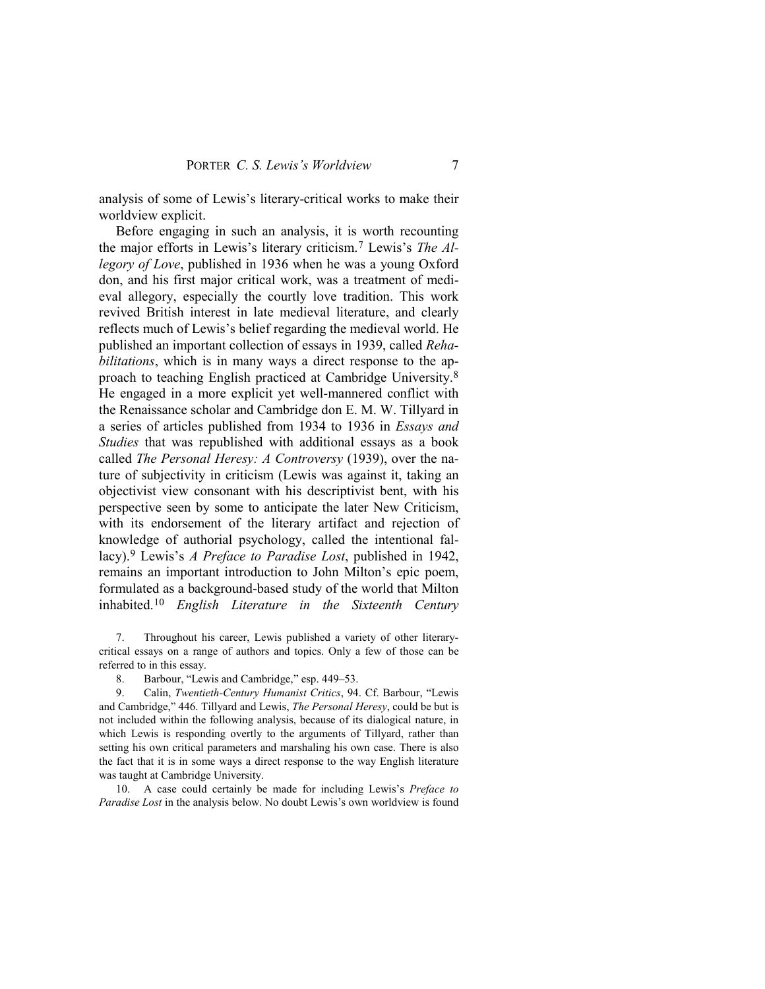analysis of some of Lewis's literary-critical works to make their worldview explicit.

Before engaging in such an analysis, it is worth recounting the major efforts in Lewis's literary criticism.[7](#page-4-0) Lewis's *The Allegory of Love*, published in 1936 when he was a young Oxford don, and his first major critical work, was a treatment of medieval allegory, especially the courtly love tradition. This work revived British interest in late medieval literature, and clearly reflects much of Lewis's belief regarding the medieval world. He published an important collection of essays in 1939, called *Rehabilitations*, which is in many ways a direct response to the approach to teaching English practiced at Cambridge University.[8](#page-4-1) He engaged in a more explicit yet well-mannered conflict with the Renaissance scholar and Cambridge don E. M. W. Tillyard in a series of articles published from 1934 to 1936 in *Essays and Studies* that was republished with additional essays as a book called *The Personal Heresy: A Controversy* (1939), over the nature of subjectivity in criticism (Lewis was against it, taking an objectivist view consonant with his descriptivist bent, with his perspective seen by some to anticipate the later New Criticism, with its endorsement of the literary artifact and rejection of knowledge of authorial psychology, called the intentional fallacy)[.9](#page-4-2) Lewis's *A Preface to Paradise Lost*, published in 1942, remains an important introduction to John Milton's epic poem, formulated as a background-based study of the world that Milton inhabited.[10](#page-4-3) *English Literature in the Sixteenth Century* 

<span id="page-4-0"></span>7. Throughout his career, Lewis published a variety of other literarycritical essays on a range of authors and topics. Only a few of those can be referred to in this essay.

8. Barbour, "Lewis and Cambridge," esp. 449–53.

<span id="page-4-2"></span><span id="page-4-1"></span>9. Calin, *Twentieth-Century Humanist Critics*, 94. Cf. Barbour, "Lewis and Cambridge," 446. Tillyard and Lewis, *The Personal Heresy*, could be but is not included within the following analysis, because of its dialogical nature, in which Lewis is responding overtly to the arguments of Tillyard, rather than setting his own critical parameters and marshaling his own case. There is also the fact that it is in some ways a direct response to the way English literature was taught at Cambridge University.

<span id="page-4-3"></span>10. A case could certainly be made for including Lewis's *Preface to Paradise Lost* in the analysis below. No doubt Lewis's own worldview is found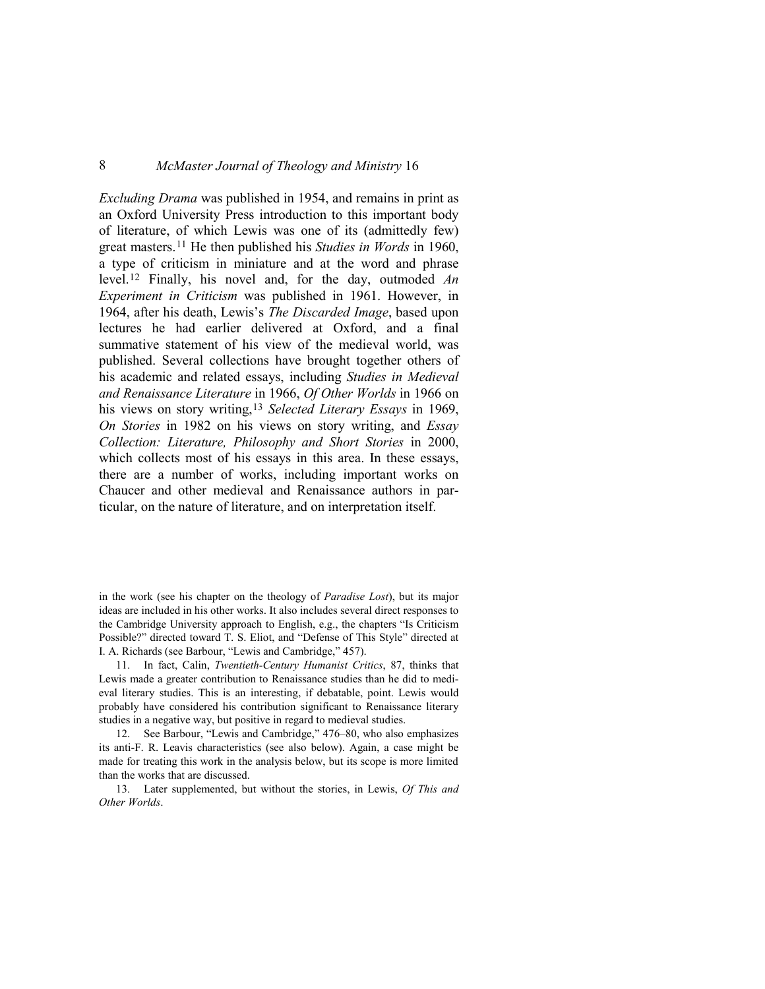*Excluding Drama* was published in 1954, and remains in print as an Oxford University Press introduction to this important body of literature, of which Lewis was one of its (admittedly few) great masters.[11](#page-5-0) He then published his *Studies in Words* in 1960, a type of criticism in miniature and at the word and phrase level.[12](#page-5-1) Finally, his novel and, for the day, outmoded *An Experiment in Criticism* was published in 1961. However, in 1964, after his death, Lewis's *The Discarded Image*, based upon lectures he had earlier delivered at Oxford, and a final summative statement of his view of the medieval world, was published. Several collections have brought together others of his academic and related essays, including *Studies in Medieval and Renaissance Literature* in 1966, *Of Other Worlds* in 1966 on his views on story writing,[13](#page-5-2) *Selected Literary Essays* in 1969, *On Stories* in 1982 on his views on story writing, and *Essay Collection: Literature, Philosophy and Short Stories* in 2000, which collects most of his essays in this area. In these essays, there are a number of works, including important works on Chaucer and other medieval and Renaissance authors in particular, on the nature of literature, and on interpretation itself.

in the work (see his chapter on the theology of *Paradise Lost*), but its major ideas are included in his other works. It also includes several direct responses to the Cambridge University approach to English, e.g., the chapters "Is Criticism Possible?" directed toward T. S. Eliot, and "Defense of This Style" directed at I. A. Richards (see Barbour, "Lewis and Cambridge," 457).

<span id="page-5-0"></span>11. In fact, Calin, *Twentieth-Century Humanist Critics*, 87, thinks that Lewis made a greater contribution to Renaissance studies than he did to medieval literary studies. This is an interesting, if debatable, point. Lewis would probably have considered his contribution significant to Renaissance literary studies in a negative way, but positive in regard to medieval studies.

<span id="page-5-1"></span>12. See Barbour, "Lewis and Cambridge," 476–80, who also emphasizes its anti-F. R. Leavis characteristics (see also below). Again, a case might be made for treating this work in the analysis below, but its scope is more limited than the works that are discussed.

<span id="page-5-2"></span>13. Later supplemented, but without the stories, in Lewis, *Of This and Other Worlds*.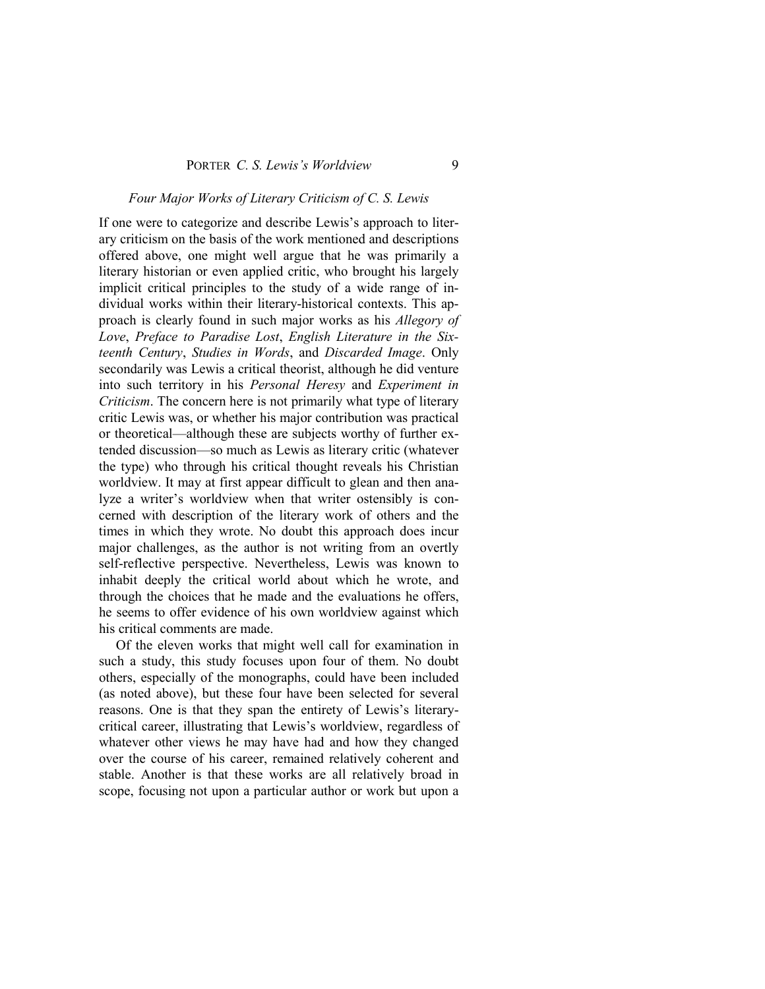### *Four Major Works of Literary Criticism of C. S. Lewis*

If one were to categorize and describe Lewis's approach to literary criticism on the basis of the work mentioned and descriptions offered above, one might well argue that he was primarily a literary historian or even applied critic, who brought his largely implicit critical principles to the study of a wide range of individual works within their literary-historical contexts. This approach is clearly found in such major works as his *Allegory of Love*, *Preface to Paradise Lost*, *English Literature in the Sixteenth Century*, *Studies in Words*, and *Discarded Image*. Only secondarily was Lewis a critical theorist, although he did venture into such territory in his *Personal Heresy* and *Experiment in Criticism*. The concern here is not primarily what type of literary critic Lewis was, or whether his major contribution was practical or theoretical—although these are subjects worthy of further extended discussion—so much as Lewis as literary critic (whatever the type) who through his critical thought reveals his Christian worldview. It may at first appear difficult to glean and then analyze a writer's worldview when that writer ostensibly is concerned with description of the literary work of others and the times in which they wrote. No doubt this approach does incur major challenges, as the author is not writing from an overtly self-reflective perspective. Nevertheless, Lewis was known to inhabit deeply the critical world about which he wrote, and through the choices that he made and the evaluations he offers, he seems to offer evidence of his own worldview against which his critical comments are made.

Of the eleven works that might well call for examination in such a study, this study focuses upon four of them. No doubt others, especially of the monographs, could have been included (as noted above), but these four have been selected for several reasons. One is that they span the entirety of Lewis's literarycritical career, illustrating that Lewis's worldview, regardless of whatever other views he may have had and how they changed over the course of his career, remained relatively coherent and stable. Another is that these works are all relatively broad in scope, focusing not upon a particular author or work but upon a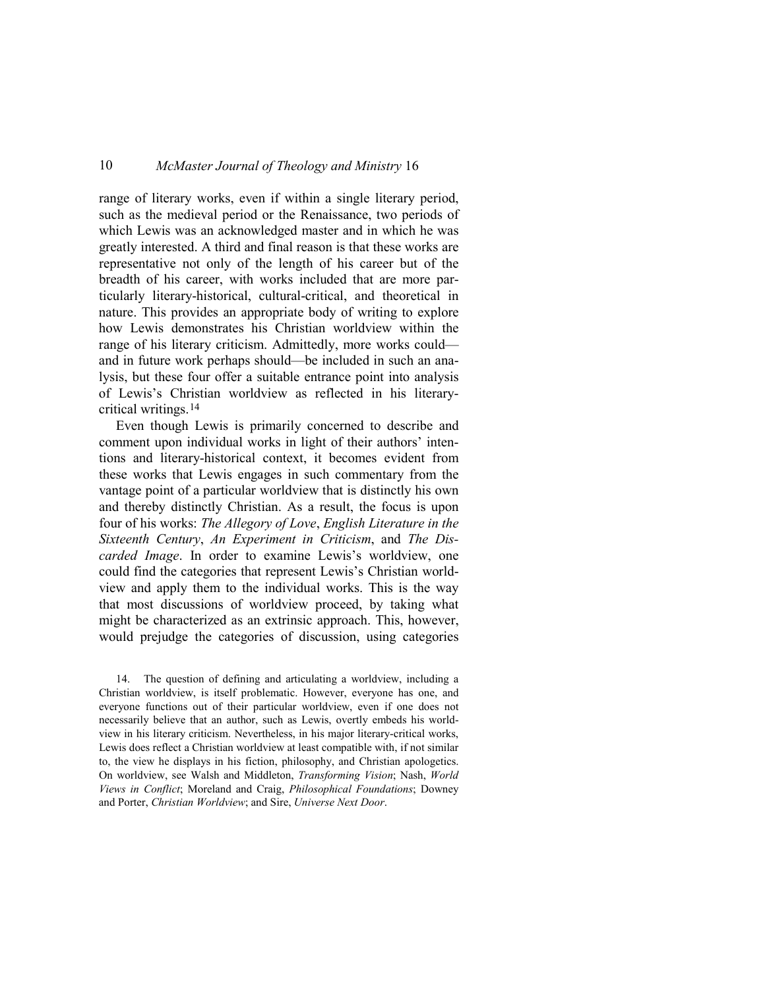range of literary works, even if within a single literary period, such as the medieval period or the Renaissance, two periods of which Lewis was an acknowledged master and in which he was greatly interested. A third and final reason is that these works are representative not only of the length of his career but of the breadth of his career, with works included that are more particularly literary-historical, cultural-critical, and theoretical in nature. This provides an appropriate body of writing to explore how Lewis demonstrates his Christian worldview within the range of his literary criticism. Admittedly, more works could and in future work perhaps should—be included in such an analysis, but these four offer a suitable entrance point into analysis of Lewis's Christian worldview as reflected in his literarycritical writings.[14](#page-7-0)

Even though Lewis is primarily concerned to describe and comment upon individual works in light of their authors' intentions and literary-historical context, it becomes evident from these works that Lewis engages in such commentary from the vantage point of a particular worldview that is distinctly his own and thereby distinctly Christian. As a result, the focus is upon four of his works: *The Allegory of Love*, *English Literature in the Sixteenth Century*, *An Experiment in Criticism*, and *The Discarded Image*. In order to examine Lewis's worldview, one could find the categories that represent Lewis's Christian worldview and apply them to the individual works. This is the way that most discussions of worldview proceed, by taking what might be characterized as an extrinsic approach. This, however, would prejudge the categories of discussion, using categories

<span id="page-7-0"></span>14. The question of defining and articulating a worldview, including a Christian worldview, is itself problematic. However, everyone has one, and everyone functions out of their particular worldview, even if one does not necessarily believe that an author, such as Lewis, overtly embeds his worldview in his literary criticism. Nevertheless, in his major literary-critical works, Lewis does reflect a Christian worldview at least compatible with, if not similar to, the view he displays in his fiction, philosophy, and Christian apologetics. On worldview, see Walsh and Middleton, *Transforming Vision*; Nash, *World Views in Conflict*; Moreland and Craig, *Philosophical Foundations*; Downey and Porter, *Christian Worldview*; and Sire, *Universe Next Door*.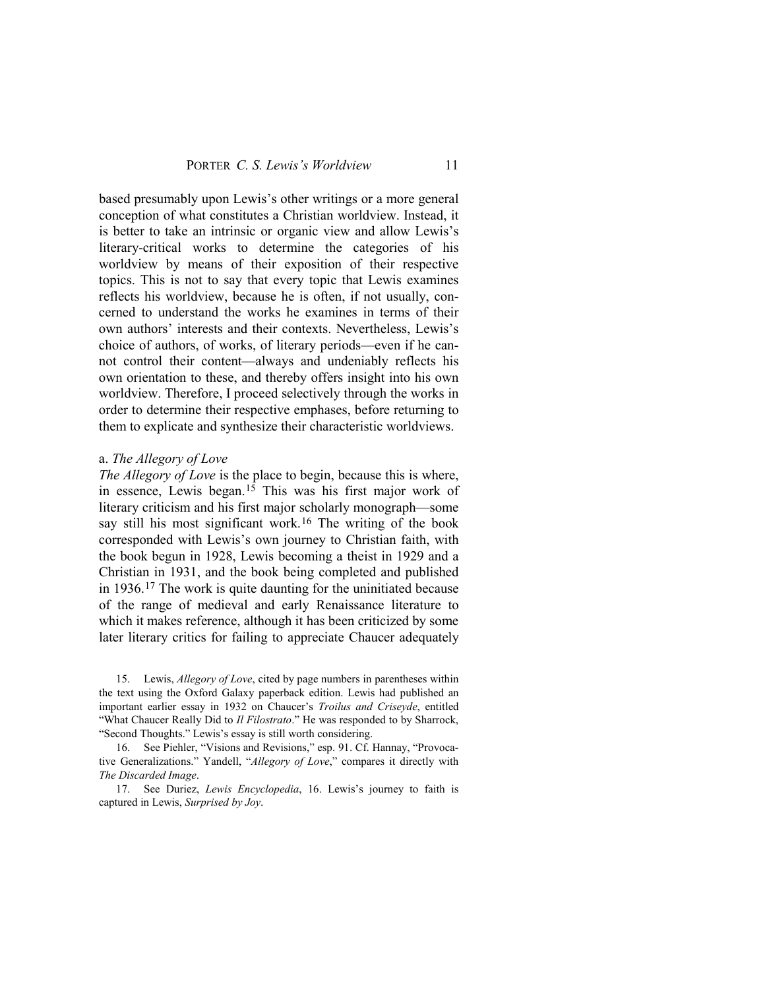based presumably upon Lewis's other writings or a more general conception of what constitutes a Christian worldview. Instead, it is better to take an intrinsic or organic view and allow Lewis's literary-critical works to determine the categories of his worldview by means of their exposition of their respective topics. This is not to say that every topic that Lewis examines reflects his worldview, because he is often, if not usually, concerned to understand the works he examines in terms of their own authors' interests and their contexts. Nevertheless, Lewis's choice of authors, of works, of literary periods—even if he cannot control their content—always and undeniably reflects his own orientation to these, and thereby offers insight into his own worldview. Therefore, I proceed selectively through the works in order to determine their respective emphases, before returning to them to explicate and synthesize their characteristic worldviews.

## a. *The Allegory of Love*

*The Allegory of Love* is the place to begin, because this is where, in essence, Lewis began.[15](#page-8-0) This was his first major work of literary criticism and his first major scholarly monograph—some say still his most significant work.<sup>[16](#page-8-1)</sup> The writing of the book corresponded with Lewis's own journey to Christian faith, with the book begun in 1928, Lewis becoming a theist in 1929 and a Christian in 1931, and the book being completed and published in 1936.[17](#page-8-2) The work is quite daunting for the uninitiated because of the range of medieval and early Renaissance literature to which it makes reference, although it has been criticized by some later literary critics for failing to appreciate Chaucer adequately

<span id="page-8-0"></span>15. Lewis, *Allegory of Love*, cited by page numbers in parentheses within the text using the Oxford Galaxy paperback edition. Lewis had published an important earlier essay in 1932 on Chaucer's *Troilus and Criseyde*, entitled "What Chaucer Really Did to *Il Filostrato*." He was responded to by Sharrock, "Second Thoughts." Lewis's essay is still worth considering.

<span id="page-8-1"></span>16. See Piehler, "Visions and Revisions," esp. 91. Cf. Hannay, "Provocative Generalizations." Yandell, "*Allegory of Love*," compares it directly with *The Discarded Image*.

<span id="page-8-2"></span>17. See Duriez, *Lewis Encyclopedia*, 16. Lewis's journey to faith is captured in Lewis, *Surprised by Joy*.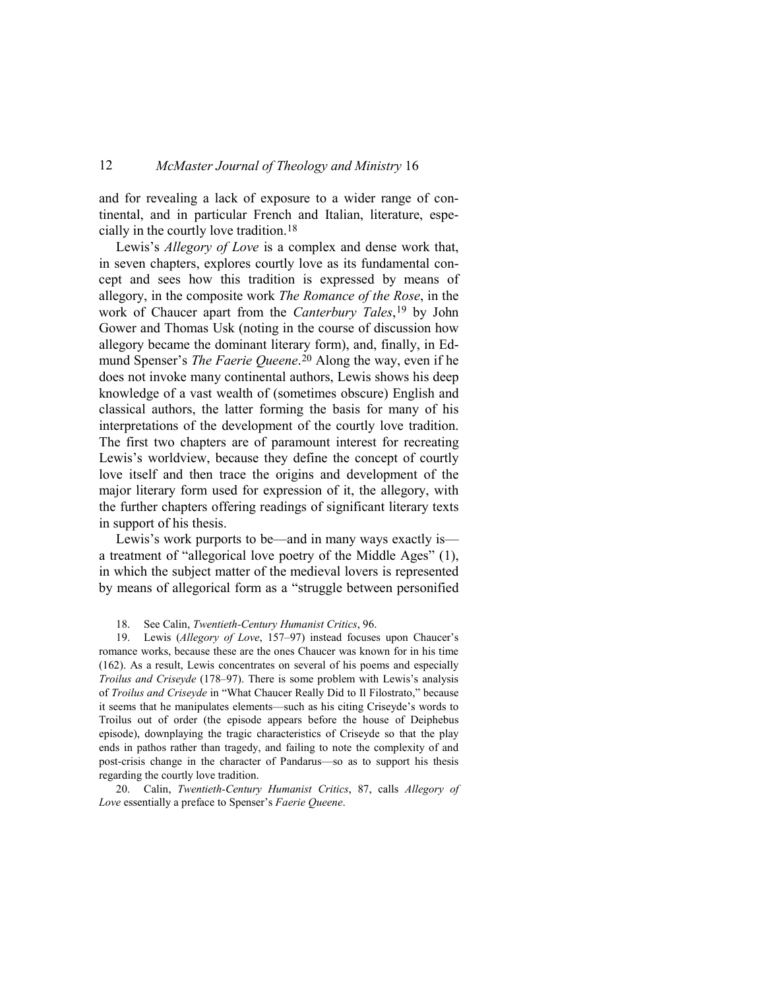and for revealing a lack of exposure to a wider range of continental, and in particular French and Italian, literature, especially in the courtly love tradition.[18](#page-9-0)

Lewis's *Allegory of Love* is a complex and dense work that, in seven chapters, explores courtly love as its fundamental concept and sees how this tradition is expressed by means of allegory, in the composite work *The Romance of the Rose*, in the work of Chaucer apart from the *Canterbury Tales*[,19](#page-9-1) by John Gower and Thomas Usk (noting in the course of discussion how allegory became the dominant literary form), and, finally, in Edmund Spenser's *The Faerie Queene*.[20](#page-9-2) Along the way, even if he does not invoke many continental authors, Lewis shows his deep knowledge of a vast wealth of (sometimes obscure) English and classical authors, the latter forming the basis for many of his interpretations of the development of the courtly love tradition. The first two chapters are of paramount interest for recreating Lewis's worldview, because they define the concept of courtly love itself and then trace the origins and development of the major literary form used for expression of it, the allegory, with the further chapters offering readings of significant literary texts in support of his thesis.

Lewis's work purports to be—and in many ways exactly is a treatment of "allegorical love poetry of the Middle Ages" (1), in which the subject matter of the medieval lovers is represented by means of allegorical form as a "struggle between personified

#### 18. See Calin, *Twentieth-Century Humanist Critics*, 96.

<span id="page-9-1"></span><span id="page-9-0"></span>19. Lewis (*Allegory of Love*, 157–97) instead focuses upon Chaucer's romance works, because these are the ones Chaucer was known for in his time (162). As a result, Lewis concentrates on several of his poems and especially *Troilus and Criseyde* (178–97). There is some problem with Lewis's analysis of *Troilus and Criseyde* in "What Chaucer Really Did to Il Filostrato," because it seems that he manipulates elements—such as his citing Criseyde's words to Troilus out of order (the episode appears before the house of Deiphebus episode), downplaying the tragic characteristics of Criseyde so that the play ends in pathos rather than tragedy, and failing to note the complexity of and post-crisis change in the character of Pandarus—so as to support his thesis regarding the courtly love tradition.

<span id="page-9-2"></span>20. Calin, *Twentieth-Century Humanist Critics*, 87, calls *Allegory of Love* essentially a preface to Spenser's *Faerie Queene*.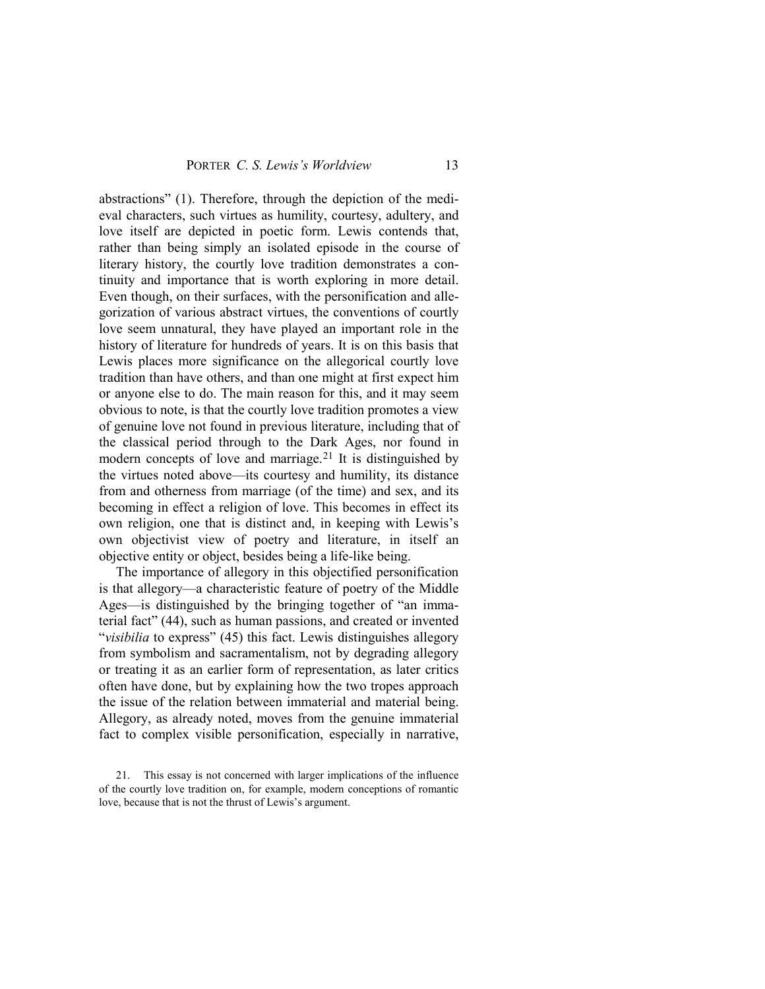abstractions" (1). Therefore, through the depiction of the medieval characters, such virtues as humility, courtesy, adultery, and love itself are depicted in poetic form. Lewis contends that, rather than being simply an isolated episode in the course of literary history, the courtly love tradition demonstrates a continuity and importance that is worth exploring in more detail. Even though, on their surfaces, with the personification and allegorization of various abstract virtues, the conventions of courtly love seem unnatural, they have played an important role in the history of literature for hundreds of years. It is on this basis that Lewis places more significance on the allegorical courtly love tradition than have others, and than one might at first expect him or anyone else to do. The main reason for this, and it may seem obvious to note, is that the courtly love tradition promotes a view of genuine love not found in previous literature, including that of the classical period through to the Dark Ages, nor found in modern concepts of love and marriage.<sup>[21](#page-10-0)</sup> It is distinguished by the virtues noted above—its courtesy and humility, its distance from and otherness from marriage (of the time) and sex, and its becoming in effect a religion of love. This becomes in effect its own religion, one that is distinct and, in keeping with Lewis's own objectivist view of poetry and literature, in itself an objective entity or object, besides being a life-like being.

The importance of allegory in this objectified personification is that allegory—a characteristic feature of poetry of the Middle Ages—is distinguished by the bringing together of "an immaterial fact" (44), such as human passions, and created or invented "*visibilia* to express" (45) this fact. Lewis distinguishes allegory from symbolism and sacramentalism, not by degrading allegory or treating it as an earlier form of representation, as later critics often have done, but by explaining how the two tropes approach the issue of the relation between immaterial and material being. Allegory, as already noted, moves from the genuine immaterial fact to complex visible personification, especially in narrative,

<span id="page-10-0"></span><sup>21.</sup> This essay is not concerned with larger implications of the influence of the courtly love tradition on, for example, modern conceptions of romantic love, because that is not the thrust of Lewis's argument.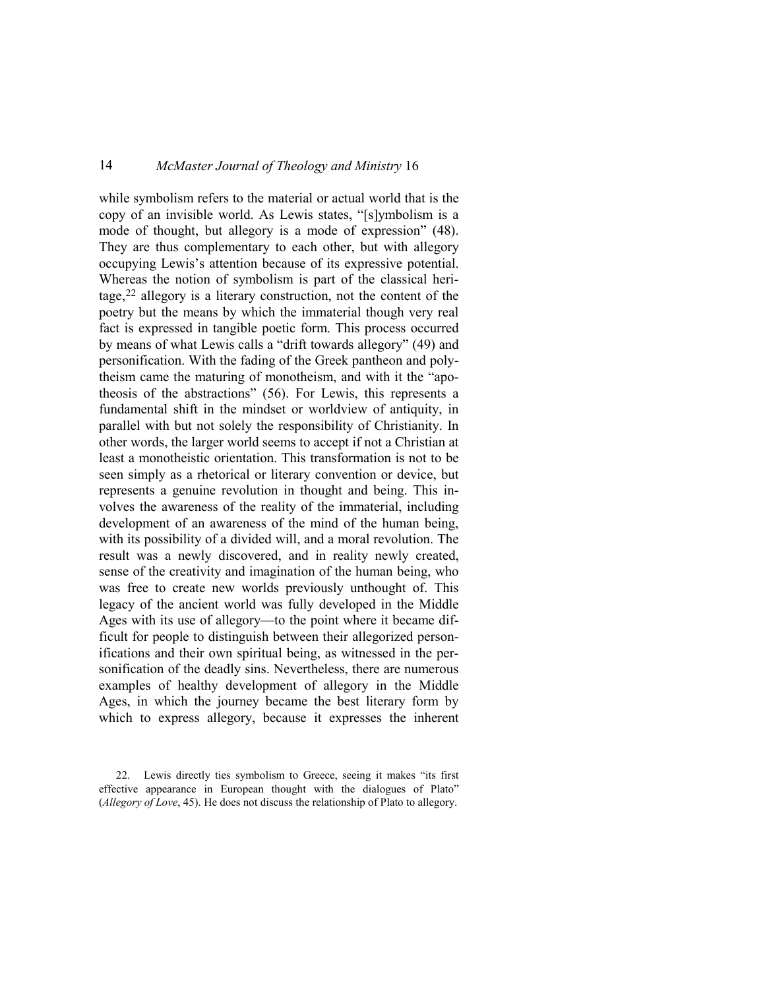while symbolism refers to the material or actual world that is the copy of an invisible world. As Lewis states, "[s]ymbolism is a mode of thought, but allegory is a mode of expression" (48). They are thus complementary to each other, but with allegory occupying Lewis's attention because of its expressive potential. Whereas the notion of symbolism is part of the classical heritage,[22](#page-11-0) allegory is a literary construction, not the content of the poetry but the means by which the immaterial though very real fact is expressed in tangible poetic form. This process occurred by means of what Lewis calls a "drift towards allegory" (49) and personification. With the fading of the Greek pantheon and polytheism came the maturing of monotheism, and with it the "apotheosis of the abstractions" (56). For Lewis, this represents a fundamental shift in the mindset or worldview of antiquity, in parallel with but not solely the responsibility of Christianity. In other words, the larger world seems to accept if not a Christian at least a monotheistic orientation. This transformation is not to be seen simply as a rhetorical or literary convention or device, but represents a genuine revolution in thought and being. This involves the awareness of the reality of the immaterial, including development of an awareness of the mind of the human being, with its possibility of a divided will, and a moral revolution. The result was a newly discovered, and in reality newly created, sense of the creativity and imagination of the human being, who was free to create new worlds previously unthought of. This legacy of the ancient world was fully developed in the Middle Ages with its use of allegory—to the point where it became difficult for people to distinguish between their allegorized personifications and their own spiritual being, as witnessed in the personification of the deadly sins. Nevertheless, there are numerous examples of healthy development of allegory in the Middle Ages, in which the journey became the best literary form by which to express allegory, because it expresses the inherent

<span id="page-11-0"></span><sup>22.</sup> Lewis directly ties symbolism to Greece, seeing it makes "its first effective appearance in European thought with the dialogues of Plato" (*Allegory of Love*, 45). He does not discuss the relationship of Plato to allegory.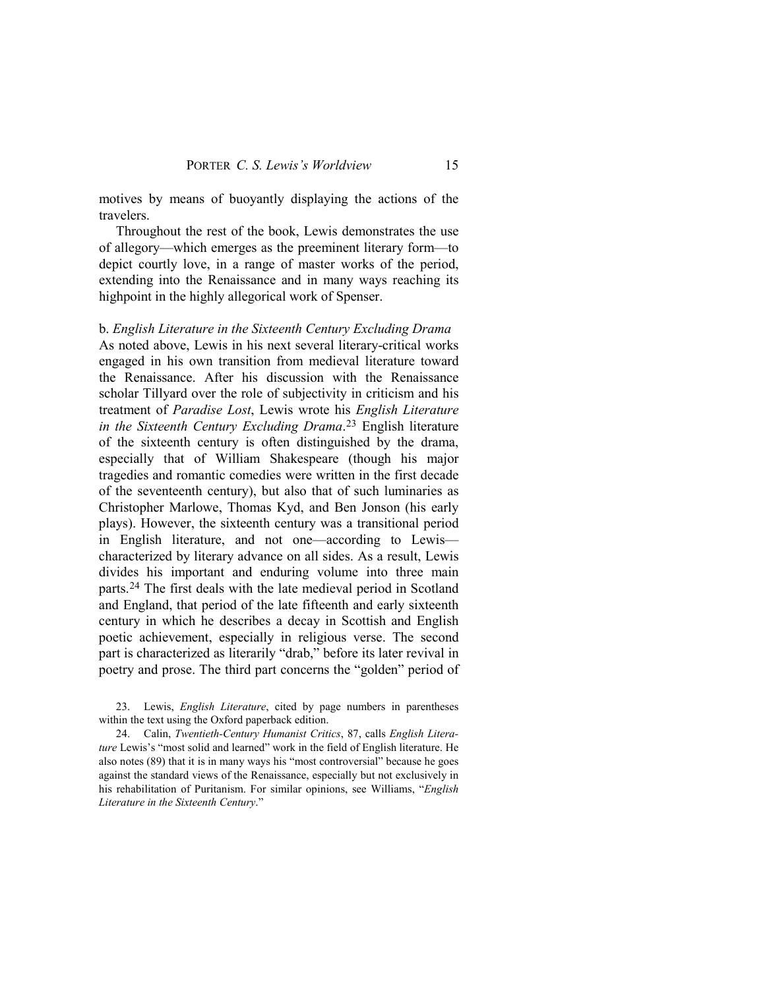motives by means of buoyantly displaying the actions of the travelers.

Throughout the rest of the book, Lewis demonstrates the use of allegory—which emerges as the preeminent literary form—to depict courtly love, in a range of master works of the period, extending into the Renaissance and in many ways reaching its highpoint in the highly allegorical work of Spenser.

b. *English Literature in the Sixteenth Century Excluding Drama* As noted above, Lewis in his next several literary-critical works engaged in his own transition from medieval literature toward the Renaissance. After his discussion with the Renaissance scholar Tillyard over the role of subjectivity in criticism and his treatment of *Paradise Lost*, Lewis wrote his *English Literature in the Sixteenth Century Excluding Drama*.[23](#page-12-0) English literature of the sixteenth century is often distinguished by the drama, especially that of William Shakespeare (though his major tragedies and romantic comedies were written in the first decade of the seventeenth century), but also that of such luminaries as Christopher Marlowe, Thomas Kyd, and Ben Jonson (his early plays). However, the sixteenth century was a transitional period in English literature, and not one—according to Lewis characterized by literary advance on all sides. As a result, Lewis divides his important and enduring volume into three main parts.[24](#page-12-1) The first deals with the late medieval period in Scotland and England, that period of the late fifteenth and early sixteenth century in which he describes a decay in Scottish and English poetic achievement, especially in religious verse. The second part is characterized as literarily "drab," before its later revival in poetry and prose. The third part concerns the "golden" period of

<span id="page-12-0"></span>23. Lewis, *English Literature*, cited by page numbers in parentheses within the text using the Oxford paperback edition.

<span id="page-12-1"></span>24. Calin, *Twentieth-Century Humanist Critics*, 87, calls *English Literature* Lewis's "most solid and learned" work in the field of English literature. He also notes (89) that it is in many ways his "most controversial" because he goes against the standard views of the Renaissance, especially but not exclusively in his rehabilitation of Puritanism. For similar opinions, see Williams, "*English Literature in the Sixteenth Century*."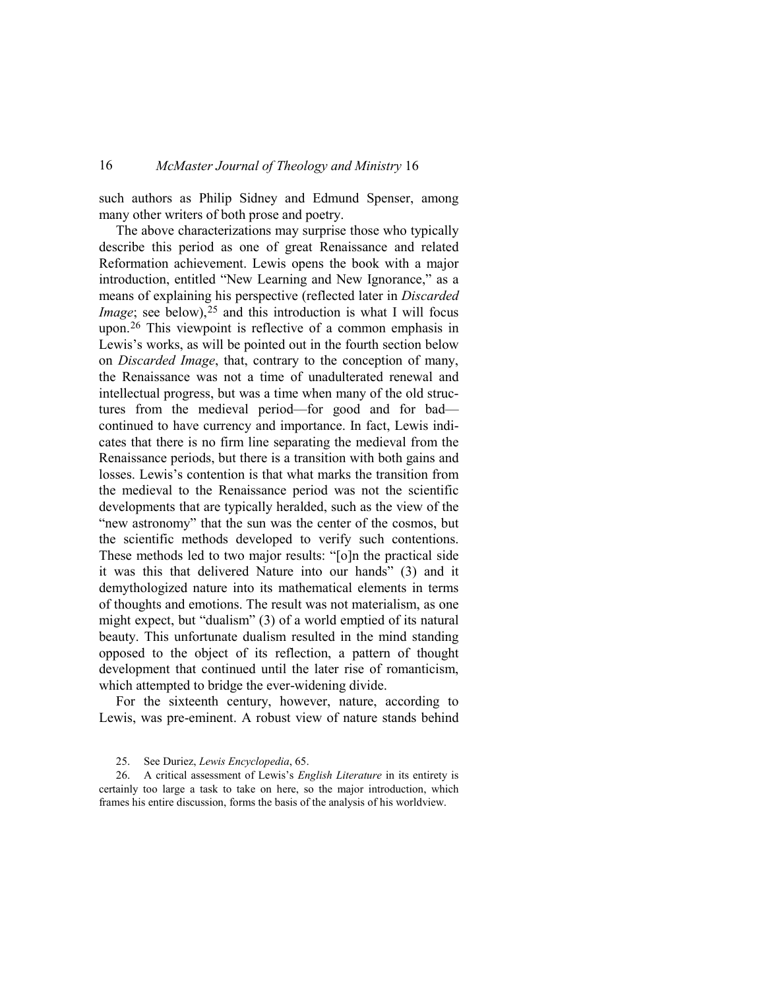such authors as Philip Sidney and Edmund Spenser, among many other writers of both prose and poetry.

The above characterizations may surprise those who typically describe this period as one of great Renaissance and related Reformation achievement. Lewis opens the book with a major introduction, entitled "New Learning and New Ignorance," as a means of explaining his perspective (reflected later in *Discarded Image*; see below),<sup>[25](#page-13-0)</sup> and this introduction is what I will focus upon.[26](#page-13-1) This viewpoint is reflective of a common emphasis in Lewis's works, as will be pointed out in the fourth section below on *Discarded Image*, that, contrary to the conception of many, the Renaissance was not a time of unadulterated renewal and intellectual progress, but was a time when many of the old structures from the medieval period—for good and for bad continued to have currency and importance. In fact, Lewis indicates that there is no firm line separating the medieval from the Renaissance periods, but there is a transition with both gains and losses. Lewis's contention is that what marks the transition from the medieval to the Renaissance period was not the scientific developments that are typically heralded, such as the view of the "new astronomy" that the sun was the center of the cosmos, but the scientific methods developed to verify such contentions. These methods led to two major results: "[o]n the practical side it was this that delivered Nature into our hands" (3) and it demythologized nature into its mathematical elements in terms of thoughts and emotions. The result was not materialism, as one might expect, but "dualism" (3) of a world emptied of its natural beauty. This unfortunate dualism resulted in the mind standing opposed to the object of its reflection, a pattern of thought development that continued until the later rise of romanticism, which attempted to bridge the ever-widening divide.

For the sixteenth century, however, nature, according to Lewis, was pre-eminent. A robust view of nature stands behind

<span id="page-13-1"></span><span id="page-13-0"></span>26. A critical assessment of Lewis's *English Literature* in its entirety is certainly too large a task to take on here, so the major introduction, which frames his entire discussion, forms the basis of the analysis of his worldview.

<sup>25.</sup> See Duriez, *Lewis Encyclopedia*, 65.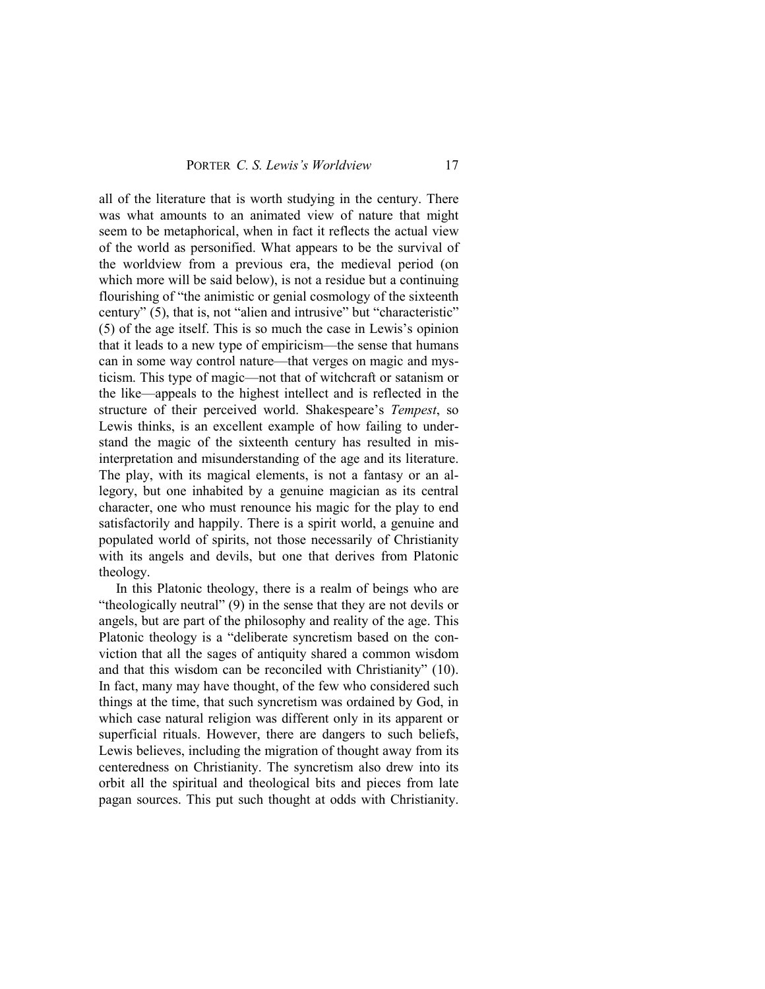all of the literature that is worth studying in the century. There was what amounts to an animated view of nature that might seem to be metaphorical, when in fact it reflects the actual view of the world as personified. What appears to be the survival of the worldview from a previous era, the medieval period (on which more will be said below), is not a residue but a continuing flourishing of "the animistic or genial cosmology of the sixteenth century" (5), that is, not "alien and intrusive" but "characteristic" (5) of the age itself. This is so much the case in Lewis's opinion that it leads to a new type of empiricism—the sense that humans can in some way control nature—that verges on magic and mysticism. This type of magic—not that of witchcraft or satanism or the like—appeals to the highest intellect and is reflected in the structure of their perceived world. Shakespeare's *Tempest*, so Lewis thinks, is an excellent example of how failing to understand the magic of the sixteenth century has resulted in misinterpretation and misunderstanding of the age and its literature. The play, with its magical elements, is not a fantasy or an allegory, but one inhabited by a genuine magician as its central character, one who must renounce his magic for the play to end satisfactorily and happily. There is a spirit world, a genuine and populated world of spirits, not those necessarily of Christianity with its angels and devils, but one that derives from Platonic theology.

In this Platonic theology, there is a realm of beings who are "theologically neutral" (9) in the sense that they are not devils or angels, but are part of the philosophy and reality of the age. This Platonic theology is a "deliberate syncretism based on the conviction that all the sages of antiquity shared a common wisdom and that this wisdom can be reconciled with Christianity" (10). In fact, many may have thought, of the few who considered such things at the time, that such syncretism was ordained by God, in which case natural religion was different only in its apparent or superficial rituals. However, there are dangers to such beliefs, Lewis believes, including the migration of thought away from its centeredness on Christianity. The syncretism also drew into its orbit all the spiritual and theological bits and pieces from late pagan sources. This put such thought at odds with Christianity.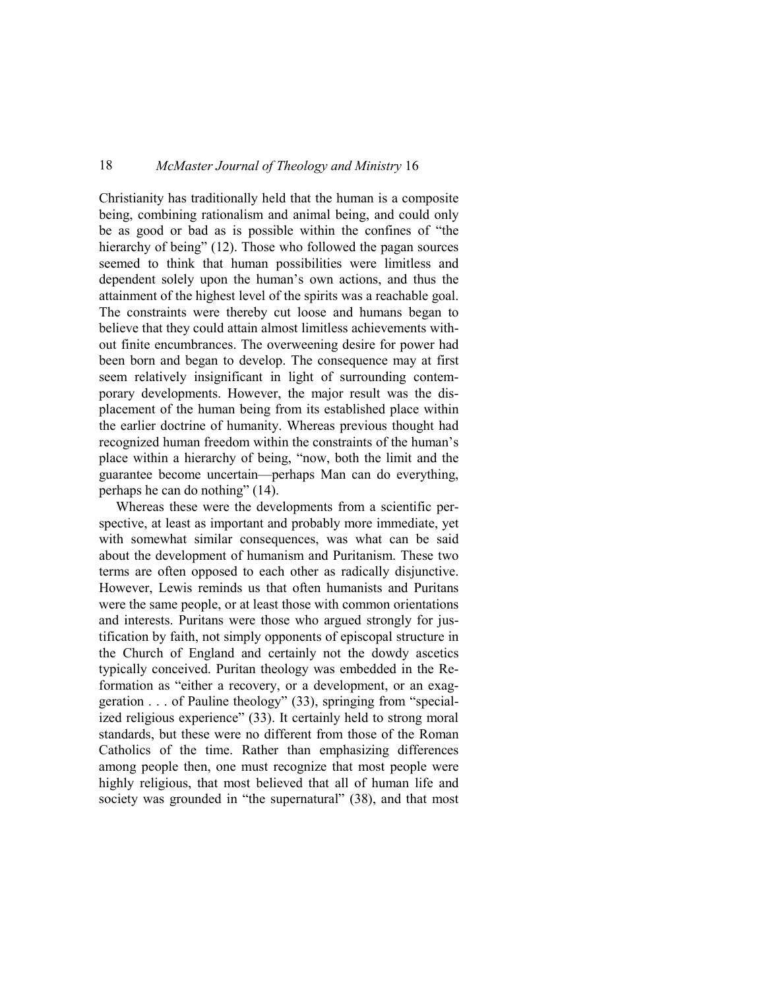Christianity has traditionally held that the human is a composite being, combining rationalism and animal being, and could only be as good or bad as is possible within the confines of "the hierarchy of being" (12). Those who followed the pagan sources seemed to think that human possibilities were limitless and dependent solely upon the human's own actions, and thus the attainment of the highest level of the spirits was a reachable goal. The constraints were thereby cut loose and humans began to believe that they could attain almost limitless achievements without finite encumbrances. The overweening desire for power had been born and began to develop. The consequence may at first seem relatively insignificant in light of surrounding contemporary developments. However, the major result was the displacement of the human being from its established place within the earlier doctrine of humanity. Whereas previous thought had recognized human freedom within the constraints of the human's place within a hierarchy of being, "now, both the limit and the guarantee become uncertain—perhaps Man can do everything, perhaps he can do nothing" (14).

Whereas these were the developments from a scientific perspective, at least as important and probably more immediate, yet with somewhat similar consequences, was what can be said about the development of humanism and Puritanism. These two terms are often opposed to each other as radically disjunctive. However, Lewis reminds us that often humanists and Puritans were the same people, or at least those with common orientations and interests. Puritans were those who argued strongly for justification by faith, not simply opponents of episcopal structure in the Church of England and certainly not the dowdy ascetics typically conceived. Puritan theology was embedded in the Reformation as "either a recovery, or a development, or an exaggeration . . . of Pauline theology" (33), springing from "specialized religious experience" (33). It certainly held to strong moral standards, but these were no different from those of the Roman Catholics of the time. Rather than emphasizing differences among people then, one must recognize that most people were highly religious, that most believed that all of human life and society was grounded in "the supernatural" (38), and that most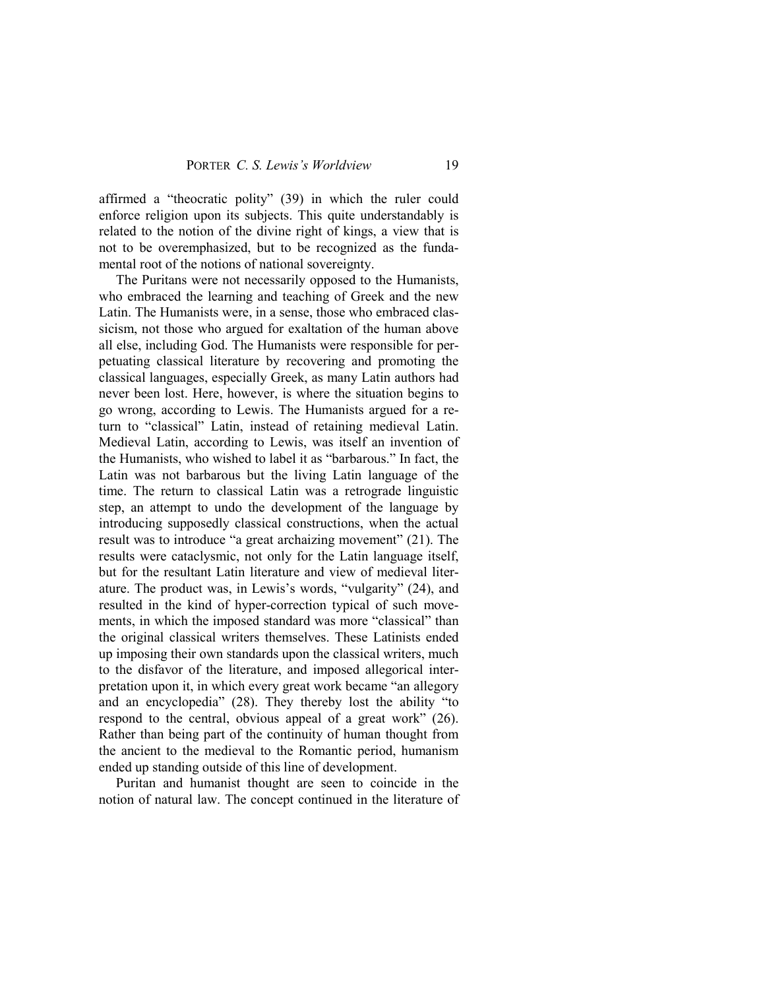affirmed a "theocratic polity" (39) in which the ruler could enforce religion upon its subjects. This quite understandably is related to the notion of the divine right of kings, a view that is not to be overemphasized, but to be recognized as the fundamental root of the notions of national sovereignty.

The Puritans were not necessarily opposed to the Humanists, who embraced the learning and teaching of Greek and the new Latin. The Humanists were, in a sense, those who embraced classicism, not those who argued for exaltation of the human above all else, including God. The Humanists were responsible for perpetuating classical literature by recovering and promoting the classical languages, especially Greek, as many Latin authors had never been lost. Here, however, is where the situation begins to go wrong, according to Lewis. The Humanists argued for a return to "classical" Latin, instead of retaining medieval Latin. Medieval Latin, according to Lewis, was itself an invention of the Humanists, who wished to label it as "barbarous." In fact, the Latin was not barbarous but the living Latin language of the time. The return to classical Latin was a retrograde linguistic step, an attempt to undo the development of the language by introducing supposedly classical constructions, when the actual result was to introduce "a great archaizing movement" (21). The results were cataclysmic, not only for the Latin language itself, but for the resultant Latin literature and view of medieval literature. The product was, in Lewis's words, "vulgarity" (24), and resulted in the kind of hyper-correction typical of such movements, in which the imposed standard was more "classical" than the original classical writers themselves. These Latinists ended up imposing their own standards upon the classical writers, much to the disfavor of the literature, and imposed allegorical interpretation upon it, in which every great work became "an allegory and an encyclopedia" (28). They thereby lost the ability "to respond to the central, obvious appeal of a great work" (26). Rather than being part of the continuity of human thought from the ancient to the medieval to the Romantic period, humanism ended up standing outside of this line of development.

Puritan and humanist thought are seen to coincide in the notion of natural law. The concept continued in the literature of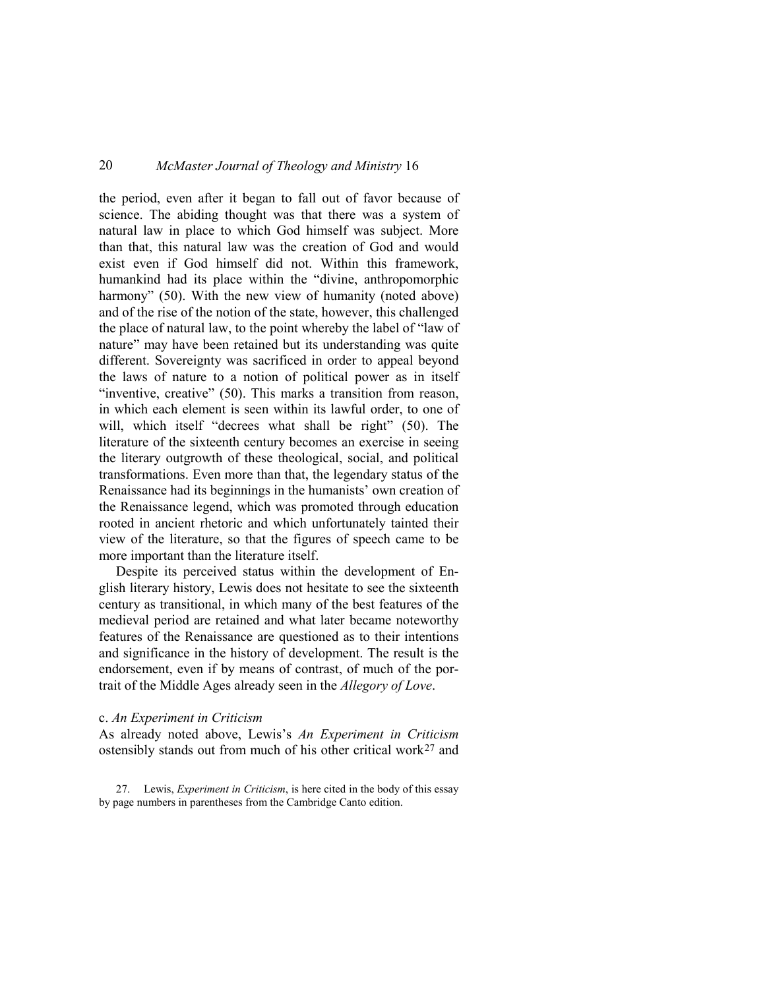the period, even after it began to fall out of favor because of science. The abiding thought was that there was a system of natural law in place to which God himself was subject. More than that, this natural law was the creation of God and would exist even if God himself did not. Within this framework, humankind had its place within the "divine, anthropomorphic harmony" (50). With the new view of humanity (noted above) and of the rise of the notion of the state, however, this challenged the place of natural law, to the point whereby the label of "law of nature" may have been retained but its understanding was quite different. Sovereignty was sacrificed in order to appeal beyond the laws of nature to a notion of political power as in itself "inventive, creative" (50). This marks a transition from reason, in which each element is seen within its lawful order, to one of will, which itself "decrees what shall be right" (50). The literature of the sixteenth century becomes an exercise in seeing the literary outgrowth of these theological, social, and political transformations. Even more than that, the legendary status of the Renaissance had its beginnings in the humanists' own creation of the Renaissance legend, which was promoted through education rooted in ancient rhetoric and which unfortunately tainted their view of the literature, so that the figures of speech came to be more important than the literature itself.

Despite its perceived status within the development of English literary history, Lewis does not hesitate to see the sixteenth century as transitional, in which many of the best features of the medieval period are retained and what later became noteworthy features of the Renaissance are questioned as to their intentions and significance in the history of development. The result is the endorsement, even if by means of contrast, of much of the portrait of the Middle Ages already seen in the *Allegory of Love*.

### c. *An Experiment in Criticism*

As already noted above, Lewis's *An Experiment in Criticism* ostensibly stands out from much of his other critical work $27$  and

<span id="page-17-0"></span>27. Lewis, *Experiment in Criticism*, is here cited in the body of this essay by page numbers in parentheses from the Cambridge Canto edition.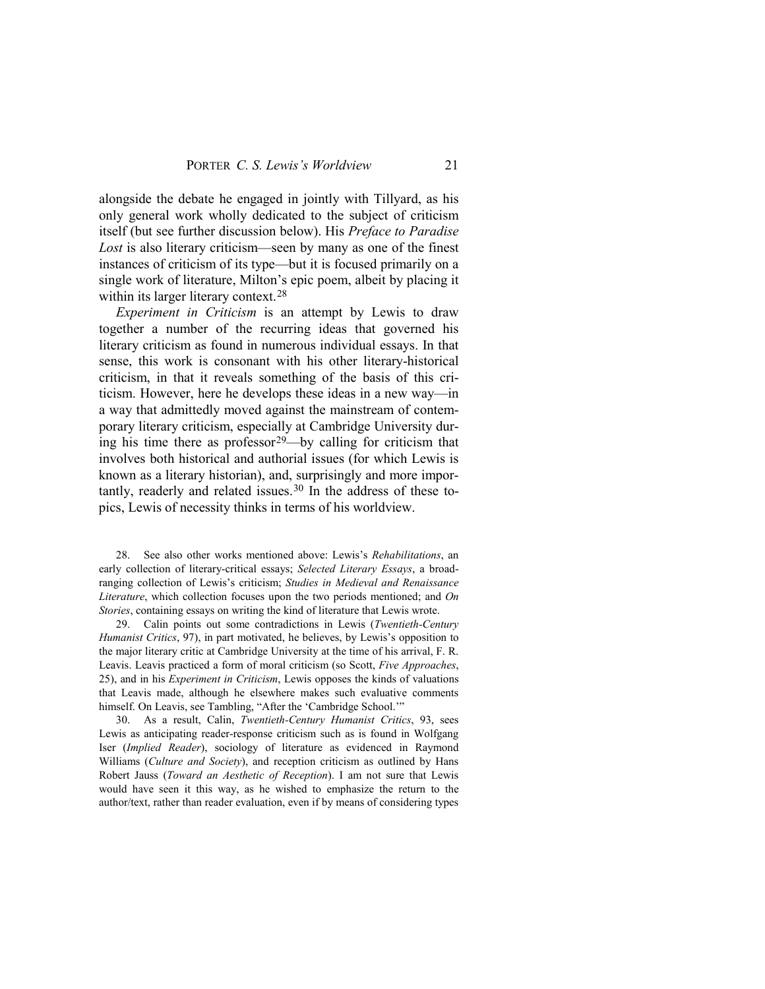alongside the debate he engaged in jointly with Tillyard, as his only general work wholly dedicated to the subject of criticism itself (but see further discussion below). His *Preface to Paradise Lost* is also literary criticism—seen by many as one of the finest instances of criticism of its type—but it is focused primarily on a single work of literature, Milton's epic poem, albeit by placing it within its larger literary context.<sup>[28](#page-18-0)</sup>

*Experiment in Criticism* is an attempt by Lewis to draw together a number of the recurring ideas that governed his literary criticism as found in numerous individual essays. In that sense, this work is consonant with his other literary-historical criticism, in that it reveals something of the basis of this criticism. However, here he develops these ideas in a new way—in a way that admittedly moved against the mainstream of contemporary literary criticism, especially at Cambridge University during his time there as professor[29](#page-18-1)—by calling for criticism that involves both historical and authorial issues (for which Lewis is known as a literary historian), and, surprisingly and more impor-tantly, readerly and related issues.<sup>[30](#page-18-2)</sup> In the address of these topics, Lewis of necessity thinks in terms of his worldview.

<span id="page-18-0"></span>28. See also other works mentioned above: Lewis's *Rehabilitations*, an early collection of literary-critical essays; *Selected Literary Essays*, a broadranging collection of Lewis's criticism; *Studies in Medieval and Renaissance Literature*, which collection focuses upon the two periods mentioned; and *On Stories*, containing essays on writing the kind of literature that Lewis wrote.

<span id="page-18-1"></span>29. Calin points out some contradictions in Lewis (*Twentieth-Century Humanist Critics*, 97), in part motivated, he believes, by Lewis's opposition to the major literary critic at Cambridge University at the time of his arrival, F. R. Leavis. Leavis practiced a form of moral criticism (so Scott, *Five Approaches*, 25), and in his *Experiment in Criticism*, Lewis opposes the kinds of valuations that Leavis made, although he elsewhere makes such evaluative comments himself. On Leavis, see Tambling, "After the 'Cambridge School.'"

<span id="page-18-2"></span>30. As a result, Calin, *Twentieth-Century Humanist Critics*, 93, sees Lewis as anticipating reader-response criticism such as is found in Wolfgang Iser (*Implied Reader*), sociology of literature as evidenced in Raymond Williams (*Culture and Society*), and reception criticism as outlined by Hans Robert Jauss (*Toward an Aesthetic of Reception*). I am not sure that Lewis would have seen it this way, as he wished to emphasize the return to the author/text, rather than reader evaluation, even if by means of considering types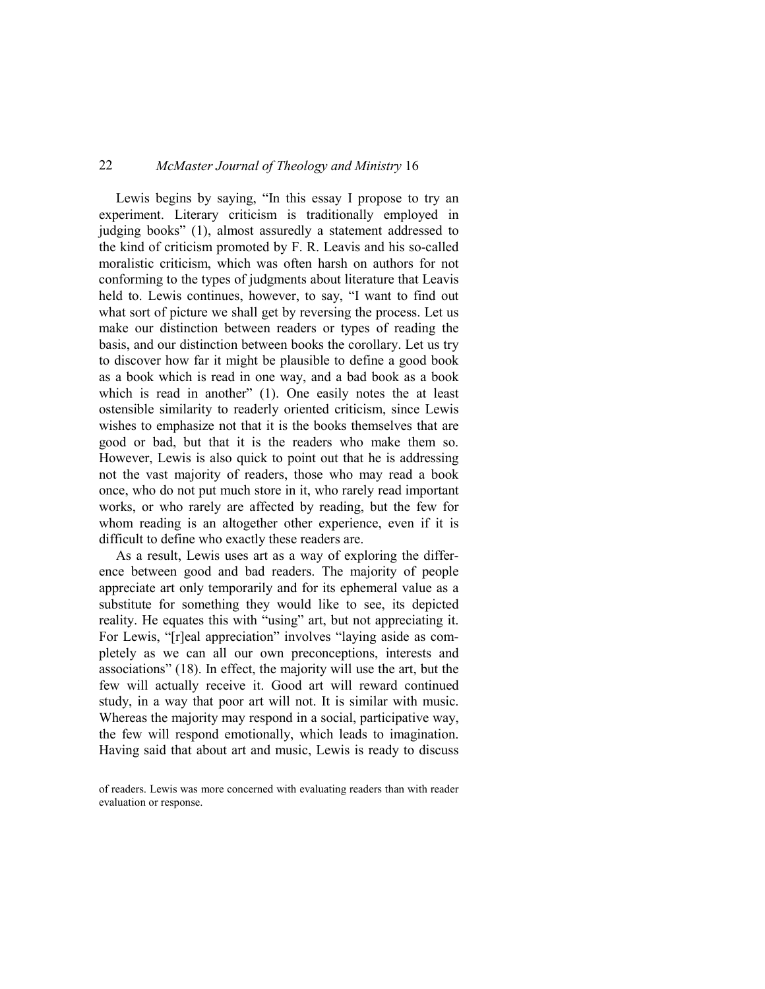Lewis begins by saying, "In this essay I propose to try an experiment. Literary criticism is traditionally employed in judging books" (1), almost assuredly a statement addressed to the kind of criticism promoted by F. R. Leavis and his so-called moralistic criticism, which was often harsh on authors for not conforming to the types of judgments about literature that Leavis held to. Lewis continues, however, to say, "I want to find out what sort of picture we shall get by reversing the process. Let us make our distinction between readers or types of reading the basis, and our distinction between books the corollary. Let us try to discover how far it might be plausible to define a good book as a book which is read in one way, and a bad book as a book which is read in another" (1). One easily notes the at least ostensible similarity to readerly oriented criticism, since Lewis wishes to emphasize not that it is the books themselves that are good or bad, but that it is the readers who make them so. However, Lewis is also quick to point out that he is addressing not the vast majority of readers, those who may read a book once, who do not put much store in it, who rarely read important works, or who rarely are affected by reading, but the few for whom reading is an altogether other experience, even if it is difficult to define who exactly these readers are.

As a result, Lewis uses art as a way of exploring the difference between good and bad readers. The majority of people appreciate art only temporarily and for its ephemeral value as a substitute for something they would like to see, its depicted reality. He equates this with "using" art, but not appreciating it. For Lewis, "[r]eal appreciation" involves "laying aside as completely as we can all our own preconceptions, interests and associations" (18). In effect, the majority will use the art, but the few will actually receive it. Good art will reward continued study, in a way that poor art will not. It is similar with music. Whereas the majority may respond in a social, participative way, the few will respond emotionally, which leads to imagination. Having said that about art and music, Lewis is ready to discuss

of readers. Lewis was more concerned with evaluating readers than with reader evaluation or response.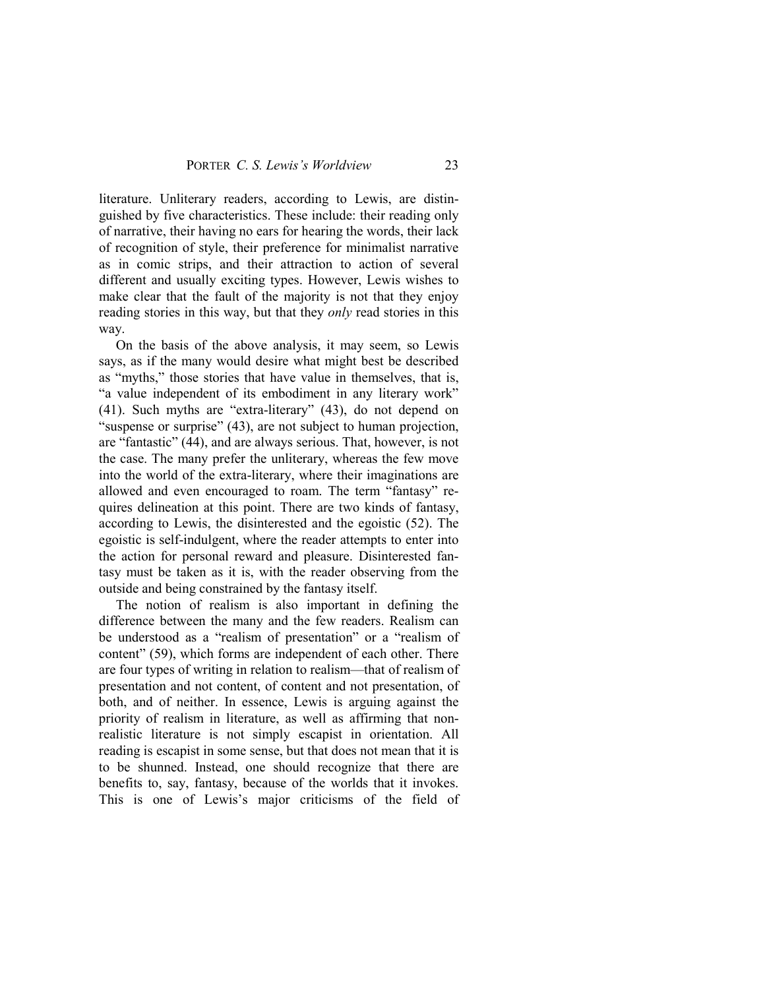literature. Unliterary readers, according to Lewis, are distinguished by five characteristics. These include: their reading only of narrative, their having no ears for hearing the words, their lack of recognition of style, their preference for minimalist narrative as in comic strips, and their attraction to action of several different and usually exciting types. However, Lewis wishes to make clear that the fault of the majority is not that they enjoy reading stories in this way, but that they *only* read stories in this way.

On the basis of the above analysis, it may seem, so Lewis says, as if the many would desire what might best be described as "myths," those stories that have value in themselves, that is, "a value independent of its embodiment in any literary work" (41). Such myths are "extra-literary" (43), do not depend on "suspense or surprise" (43), are not subject to human projection, are "fantastic" (44), and are always serious. That, however, is not the case. The many prefer the unliterary, whereas the few move into the world of the extra-literary, where their imaginations are allowed and even encouraged to roam. The term "fantasy" requires delineation at this point. There are two kinds of fantasy, according to Lewis, the disinterested and the egoistic (52). The egoistic is self-indulgent, where the reader attempts to enter into the action for personal reward and pleasure. Disinterested fantasy must be taken as it is, with the reader observing from the outside and being constrained by the fantasy itself.

The notion of realism is also important in defining the difference between the many and the few readers. Realism can be understood as a "realism of presentation" or a "realism of content" (59), which forms are independent of each other. There are four types of writing in relation to realism—that of realism of presentation and not content, of content and not presentation, of both, and of neither. In essence, Lewis is arguing against the priority of realism in literature, as well as affirming that nonrealistic literature is not simply escapist in orientation. All reading is escapist in some sense, but that does not mean that it is to be shunned. Instead, one should recognize that there are benefits to, say, fantasy, because of the worlds that it invokes. This is one of Lewis's major criticisms of the field of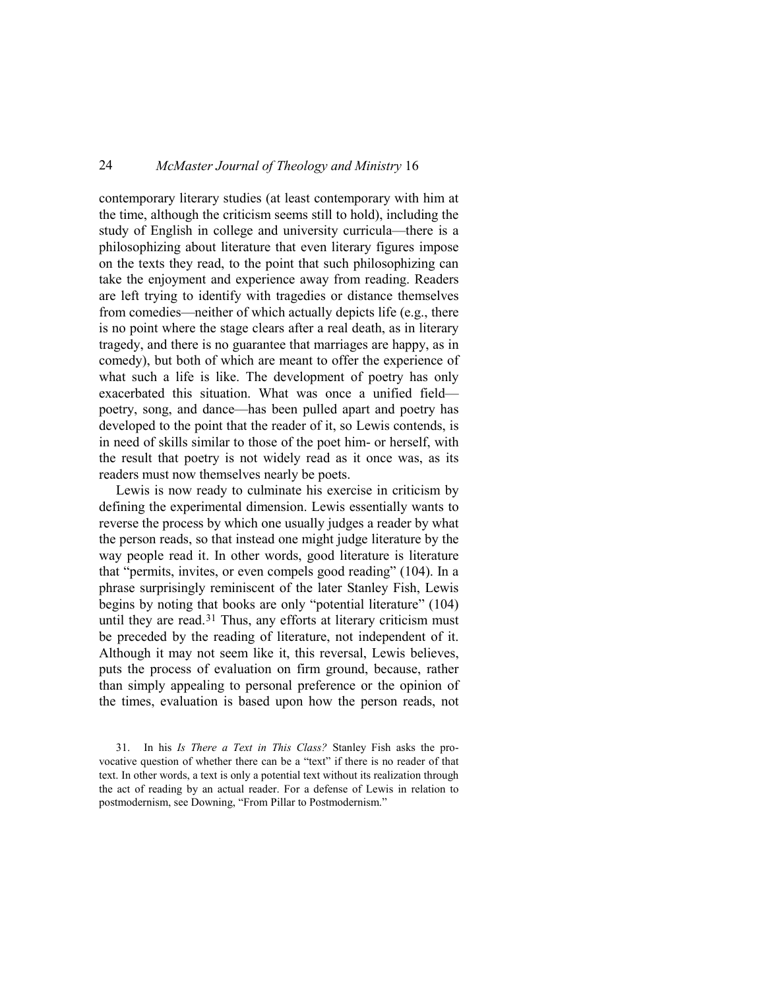contemporary literary studies (at least contemporary with him at the time, although the criticism seems still to hold), including the study of English in college and university curricula—there is a philosophizing about literature that even literary figures impose on the texts they read, to the point that such philosophizing can take the enjoyment and experience away from reading. Readers are left trying to identify with tragedies or distance themselves from comedies—neither of which actually depicts life (e.g., there is no point where the stage clears after a real death, as in literary tragedy, and there is no guarantee that marriages are happy, as in comedy), but both of which are meant to offer the experience of what such a life is like. The development of poetry has only exacerbated this situation. What was once a unified field poetry, song, and dance—has been pulled apart and poetry has developed to the point that the reader of it, so Lewis contends, is in need of skills similar to those of the poet him- or herself, with the result that poetry is not widely read as it once was, as its readers must now themselves nearly be poets.

Lewis is now ready to culminate his exercise in criticism by defining the experimental dimension. Lewis essentially wants to reverse the process by which one usually judges a reader by what the person reads, so that instead one might judge literature by the way people read it. In other words, good literature is literature that "permits, invites, or even compels good reading" (104). In a phrase surprisingly reminiscent of the later Stanley Fish, Lewis begins by noting that books are only "potential literature" (104) until they are read.<sup>[31](#page-21-0)</sup> Thus, any efforts at literary criticism must be preceded by the reading of literature, not independent of it. Although it may not seem like it, this reversal, Lewis believes, puts the process of evaluation on firm ground, because, rather than simply appealing to personal preference or the opinion of the times, evaluation is based upon how the person reads, not

<span id="page-21-0"></span>31. In his *Is There a Text in This Class?* Stanley Fish asks the provocative question of whether there can be a "text" if there is no reader of that text. In other words, a text is only a potential text without its realization through the act of reading by an actual reader. For a defense of Lewis in relation to postmodernism, see Downing, "From Pillar to Postmodernism."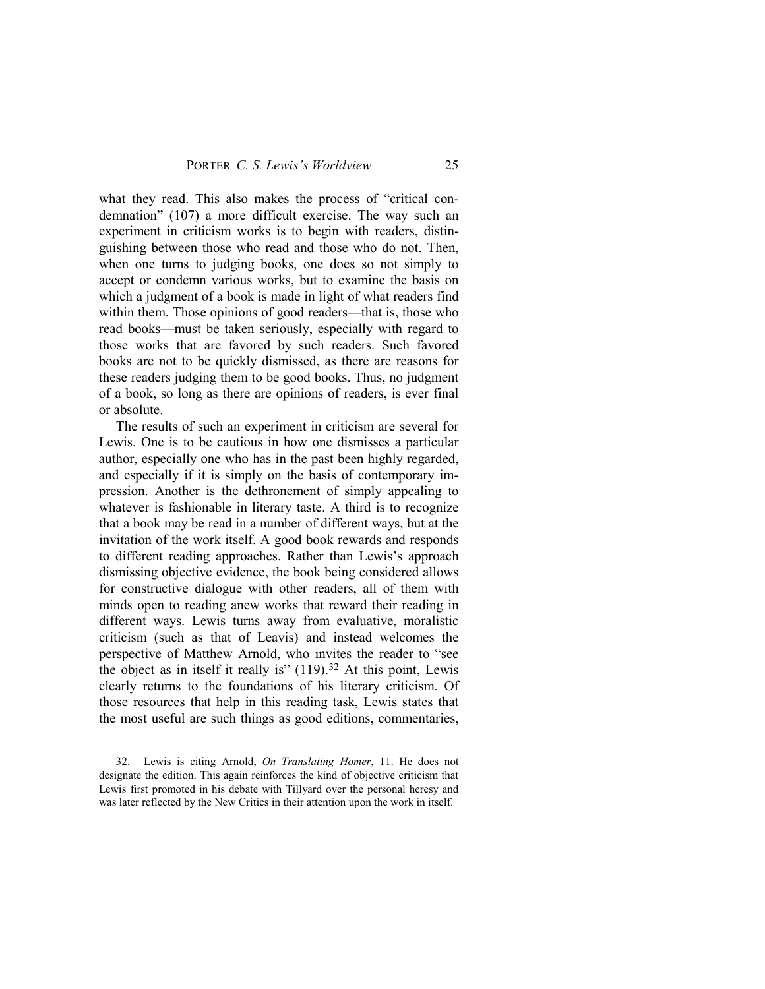what they read. This also makes the process of "critical condemnation" (107) a more difficult exercise. The way such an experiment in criticism works is to begin with readers, distinguishing between those who read and those who do not. Then, when one turns to judging books, one does so not simply to accept or condemn various works, but to examine the basis on which a judgment of a book is made in light of what readers find within them. Those opinions of good readers—that is, those who read books—must be taken seriously, especially with regard to those works that are favored by such readers. Such favored books are not to be quickly dismissed, as there are reasons for these readers judging them to be good books. Thus, no judgment of a book, so long as there are opinions of readers, is ever final or absolute.

The results of such an experiment in criticism are several for Lewis. One is to be cautious in how one dismisses a particular author, especially one who has in the past been highly regarded, and especially if it is simply on the basis of contemporary impression. Another is the dethronement of simply appealing to whatever is fashionable in literary taste. A third is to recognize that a book may be read in a number of different ways, but at the invitation of the work itself. A good book rewards and responds to different reading approaches. Rather than Lewis's approach dismissing objective evidence, the book being considered allows for constructive dialogue with other readers, all of them with minds open to reading anew works that reward their reading in different ways. Lewis turns away from evaluative, moralistic criticism (such as that of Leavis) and instead welcomes the perspective of Matthew Arnold, who invites the reader to "see the object as in itself it really is"  $(119)$ .<sup>[32](#page-22-0)</sup> At this point, Lewis clearly returns to the foundations of his literary criticism. Of those resources that help in this reading task, Lewis states that the most useful are such things as good editions, commentaries,

<span id="page-22-0"></span><sup>32.</sup> Lewis is citing Arnold, *On Translating Homer*, 11. He does not designate the edition. This again reinforces the kind of objective criticism that Lewis first promoted in his debate with Tillyard over the personal heresy and was later reflected by the New Critics in their attention upon the work in itself.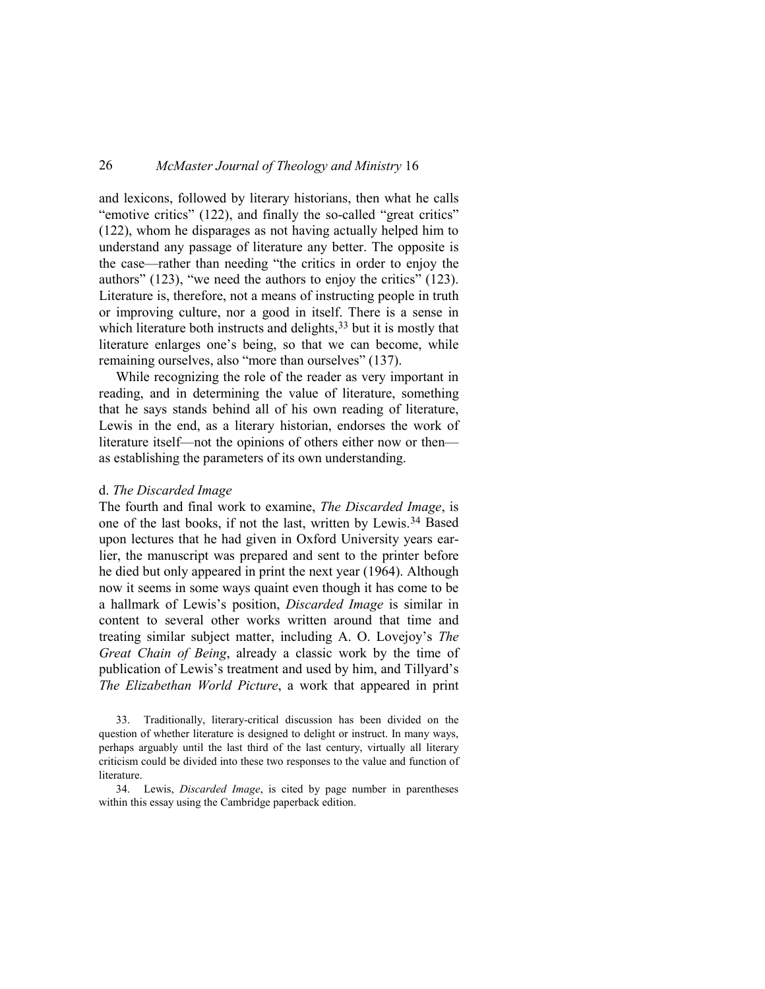and lexicons, followed by literary historians, then what he calls "emotive critics" (122), and finally the so-called "great critics" (122), whom he disparages as not having actually helped him to understand any passage of literature any better. The opposite is the case—rather than needing "the critics in order to enjoy the authors" (123), "we need the authors to enjoy the critics" (123). Literature is, therefore, not a means of instructing people in truth or improving culture, nor a good in itself. There is a sense in which literature both instructs and delights,<sup>[33](#page-23-0)</sup> but it is mostly that literature enlarges one's being, so that we can become, while remaining ourselves, also "more than ourselves" (137).

While recognizing the role of the reader as very important in reading, and in determining the value of literature, something that he says stands behind all of his own reading of literature, Lewis in the end, as a literary historian, endorses the work of literature itself—not the opinions of others either now or then as establishing the parameters of its own understanding.

#### d. *The Discarded Image*

The fourth and final work to examine, *The Discarded Image*, is one of the last books, if not the last, written by Lewis.[34](#page-23-1) Based upon lectures that he had given in Oxford University years earlier, the manuscript was prepared and sent to the printer before he died but only appeared in print the next year (1964). Although now it seems in some ways quaint even though it has come to be a hallmark of Lewis's position, *Discarded Image* is similar in content to several other works written around that time and treating similar subject matter, including A. O. Lovejoy's *The Great Chain of Being*, already a classic work by the time of publication of Lewis's treatment and used by him, and Tillyard's *The Elizabethan World Picture*, a work that appeared in print

<span id="page-23-0"></span>33. Traditionally, literary-critical discussion has been divided on the question of whether literature is designed to delight or instruct. In many ways, perhaps arguably until the last third of the last century, virtually all literary criticism could be divided into these two responses to the value and function of literature.

<span id="page-23-1"></span>34. Lewis, *Discarded Image*, is cited by page number in parentheses within this essay using the Cambridge paperback edition.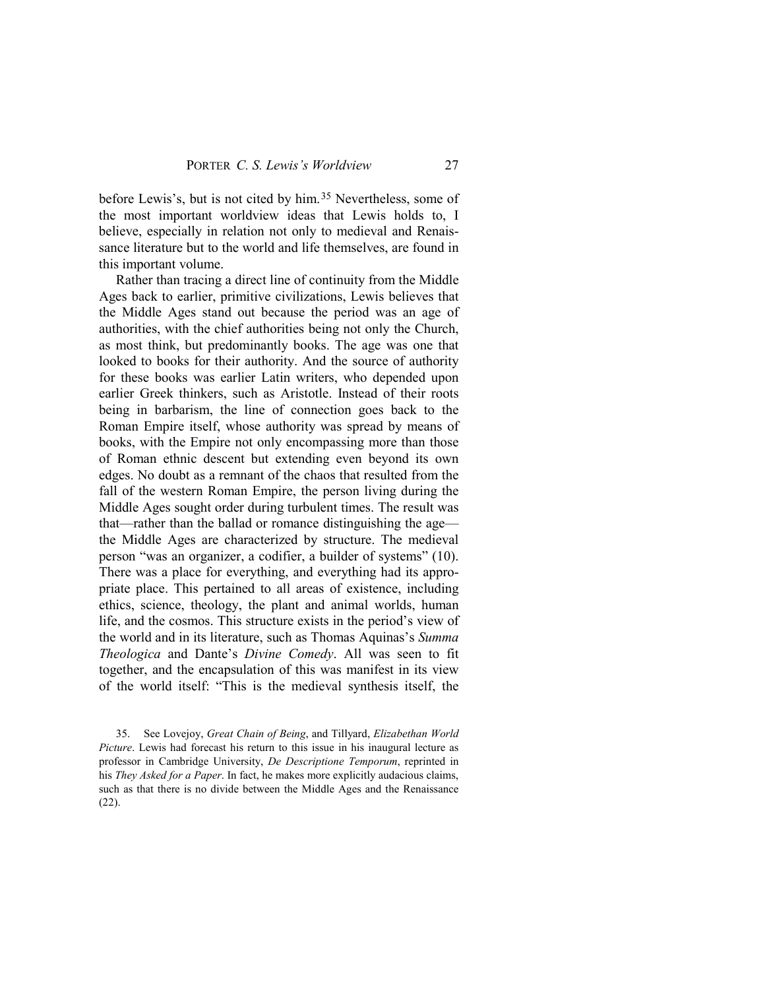before Lewis's, but is not cited by him.<sup>[35](#page-24-0)</sup> Nevertheless, some of the most important worldview ideas that Lewis holds to, I believe, especially in relation not only to medieval and Renaissance literature but to the world and life themselves, are found in this important volume.

Rather than tracing a direct line of continuity from the Middle Ages back to earlier, primitive civilizations, Lewis believes that the Middle Ages stand out because the period was an age of authorities, with the chief authorities being not only the Church, as most think, but predominantly books. The age was one that looked to books for their authority. And the source of authority for these books was earlier Latin writers, who depended upon earlier Greek thinkers, such as Aristotle. Instead of their roots being in barbarism, the line of connection goes back to the Roman Empire itself, whose authority was spread by means of books, with the Empire not only encompassing more than those of Roman ethnic descent but extending even beyond its own edges. No doubt as a remnant of the chaos that resulted from the fall of the western Roman Empire, the person living during the Middle Ages sought order during turbulent times. The result was that—rather than the ballad or romance distinguishing the age the Middle Ages are characterized by structure. The medieval person "was an organizer, a codifier, a builder of systems" (10). There was a place for everything, and everything had its appropriate place. This pertained to all areas of existence, including ethics, science, theology, the plant and animal worlds, human life, and the cosmos. This structure exists in the period's view of the world and in its literature, such as Thomas Aquinas's *Summa Theologica* and Dante's *Divine Comedy*. All was seen to fit together, and the encapsulation of this was manifest in its view of the world itself: "This is the medieval synthesis itself, the

<span id="page-24-0"></span>35. See Lovejoy, *Great Chain of Being*, and Tillyard, *Elizabethan World Picture*. Lewis had forecast his return to this issue in his inaugural lecture as professor in Cambridge University, *De Descriptione Temporum*, reprinted in his *They Asked for a Paper*. In fact, he makes more explicitly audacious claims, such as that there is no divide between the Middle Ages and the Renaissance (22).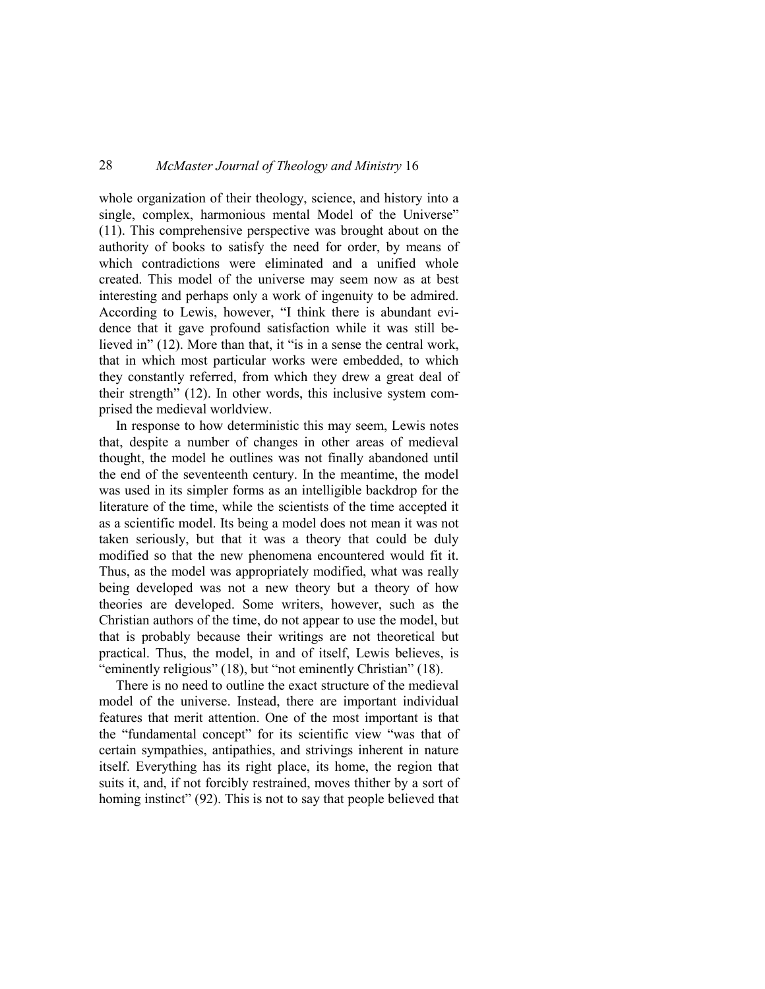whole organization of their theology, science, and history into a single, complex, harmonious mental Model of the Universe" (11). This comprehensive perspective was brought about on the authority of books to satisfy the need for order, by means of which contradictions were eliminated and a unified whole created. This model of the universe may seem now as at best interesting and perhaps only a work of ingenuity to be admired. According to Lewis, however, "I think there is abundant evidence that it gave profound satisfaction while it was still believed in" (12). More than that, it "is in a sense the central work, that in which most particular works were embedded, to which they constantly referred, from which they drew a great deal of their strength" (12). In other words, this inclusive system comprised the medieval worldview.

In response to how deterministic this may seem, Lewis notes that, despite a number of changes in other areas of medieval thought, the model he outlines was not finally abandoned until the end of the seventeenth century. In the meantime, the model was used in its simpler forms as an intelligible backdrop for the literature of the time, while the scientists of the time accepted it as a scientific model. Its being a model does not mean it was not taken seriously, but that it was a theory that could be duly modified so that the new phenomena encountered would fit it. Thus, as the model was appropriately modified, what was really being developed was not a new theory but a theory of how theories are developed. Some writers, however, such as the Christian authors of the time, do not appear to use the model, but that is probably because their writings are not theoretical but practical. Thus, the model, in and of itself, Lewis believes, is "eminently religious" (18), but "not eminently Christian" (18).

There is no need to outline the exact structure of the medieval model of the universe. Instead, there are important individual features that merit attention. One of the most important is that the "fundamental concept" for its scientific view "was that of certain sympathies, antipathies, and strivings inherent in nature itself. Everything has its right place, its home, the region that suits it, and, if not forcibly restrained, moves thither by a sort of homing instinct" (92). This is not to say that people believed that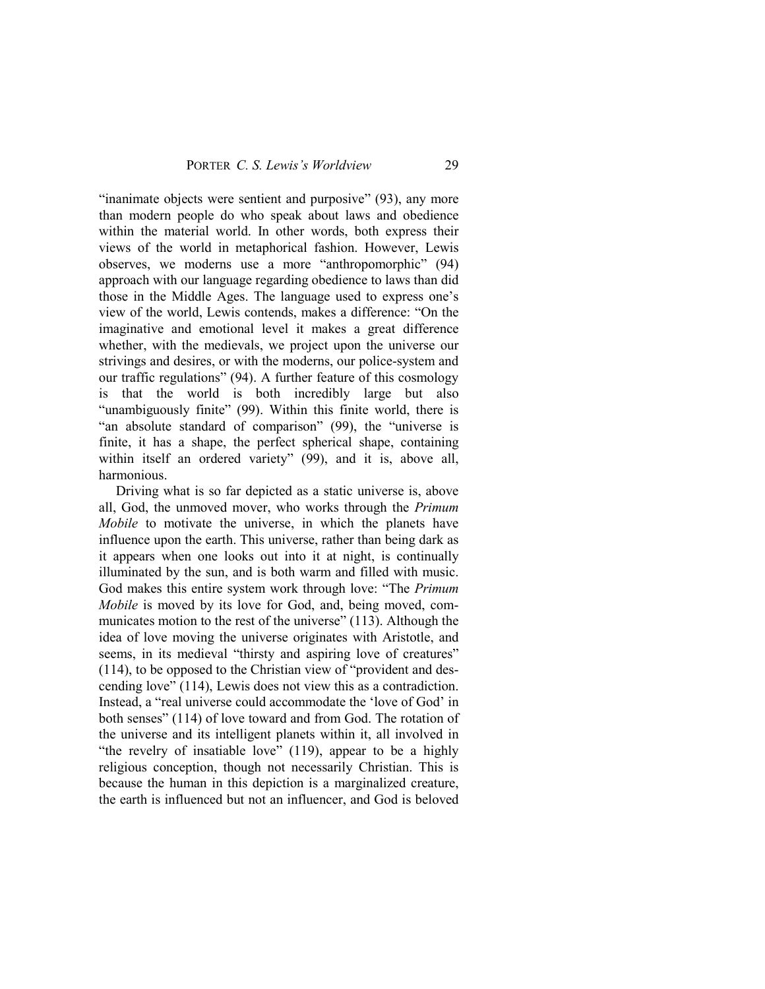"inanimate objects were sentient and purposive" (93), any more than modern people do who speak about laws and obedience within the material world. In other words, both express their views of the world in metaphorical fashion. However, Lewis observes, we moderns use a more "anthropomorphic" (94) approach with our language regarding obedience to laws than did those in the Middle Ages. The language used to express one's view of the world, Lewis contends, makes a difference: "On the imaginative and emotional level it makes a great difference whether, with the medievals, we project upon the universe our strivings and desires, or with the moderns, our police-system and our traffic regulations" (94). A further feature of this cosmology is that the world is both incredibly large but also "unambiguously finite" (99). Within this finite world, there is "an absolute standard of comparison" (99), the "universe is finite, it has a shape, the perfect spherical shape, containing within itself an ordered variety" (99), and it is, above all, harmonious.

Driving what is so far depicted as a static universe is, above all, God, the unmoved mover, who works through the *Primum Mobile* to motivate the universe, in which the planets have influence upon the earth. This universe, rather than being dark as it appears when one looks out into it at night, is continually illuminated by the sun, and is both warm and filled with music. God makes this entire system work through love: "The *Primum Mobile* is moved by its love for God, and, being moved, communicates motion to the rest of the universe" (113). Although the idea of love moving the universe originates with Aristotle, and seems, in its medieval "thirsty and aspiring love of creatures" (114), to be opposed to the Christian view of "provident and descending love" (114), Lewis does not view this as a contradiction. Instead, a "real universe could accommodate the 'love of God' in both senses" (114) of love toward and from God. The rotation of the universe and its intelligent planets within it, all involved in "the revelry of insatiable love" (119), appear to be a highly religious conception, though not necessarily Christian. This is because the human in this depiction is a marginalized creature, the earth is influenced but not an influencer, and God is beloved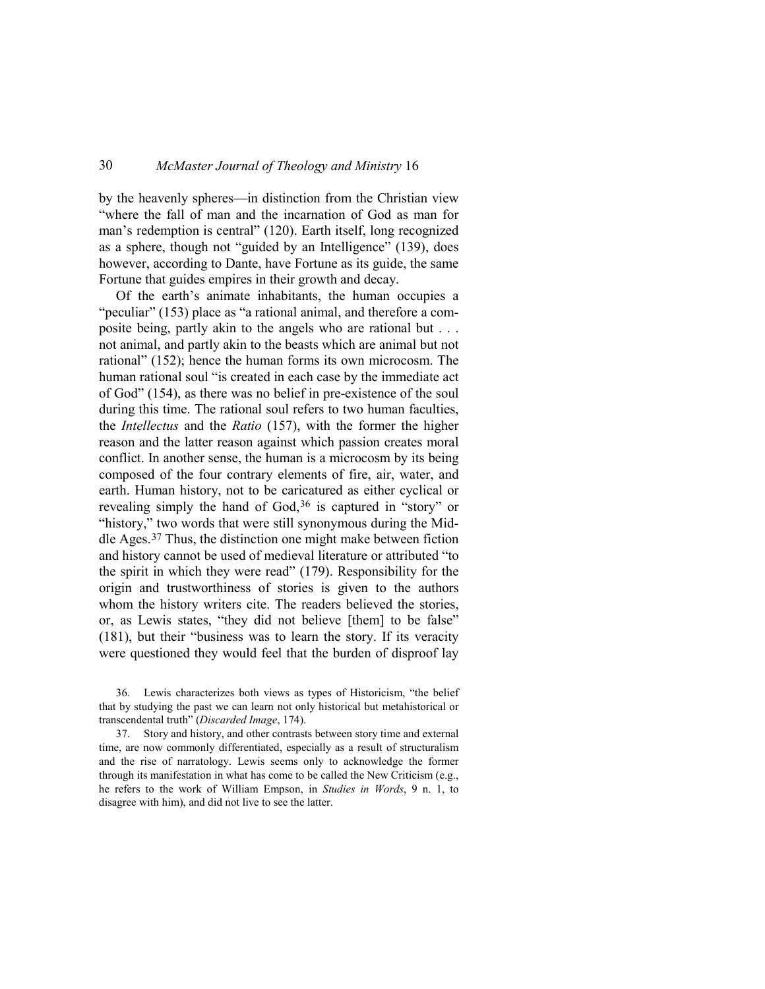by the heavenly spheres—in distinction from the Christian view "where the fall of man and the incarnation of God as man for man's redemption is central" (120). Earth itself, long recognized as a sphere, though not "guided by an Intelligence" (139), does however, according to Dante, have Fortune as its guide, the same Fortune that guides empires in their growth and decay.

Of the earth's animate inhabitants, the human occupies a "peculiar" (153) place as "a rational animal, and therefore a composite being, partly akin to the angels who are rational but . . . not animal, and partly akin to the beasts which are animal but not rational" (152); hence the human forms its own microcosm. The human rational soul "is created in each case by the immediate act of God" (154), as there was no belief in pre-existence of the soul during this time. The rational soul refers to two human faculties, the *Intellectus* and the *Ratio* (157), with the former the higher reason and the latter reason against which passion creates moral conflict. In another sense, the human is a microcosm by its being composed of the four contrary elements of fire, air, water, and earth. Human history, not to be caricatured as either cyclical or revealing simply the hand of God,<sup>[36](#page-27-0)</sup> is captured in "story" or "history," two words that were still synonymous during the Middle Ages.[37](#page-27-1) Thus, the distinction one might make between fiction and history cannot be used of medieval literature or attributed "to the spirit in which they were read" (179). Responsibility for the origin and trustworthiness of stories is given to the authors whom the history writers cite. The readers believed the stories, or, as Lewis states, "they did not believe [them] to be false" (181), but their "business was to learn the story. If its veracity were questioned they would feel that the burden of disproof lay

<span id="page-27-0"></span>36. Lewis characterizes both views as types of Historicism, "the belief that by studying the past we can learn not only historical but metahistorical or transcendental truth" (*Discarded Image*, 174).

<span id="page-27-1"></span>37. Story and history, and other contrasts between story time and external time, are now commonly differentiated, especially as a result of structuralism and the rise of narratology. Lewis seems only to acknowledge the former through its manifestation in what has come to be called the New Criticism (e.g., he refers to the work of William Empson, in *Studies in Words*, 9 n. 1, to disagree with him), and did not live to see the latter.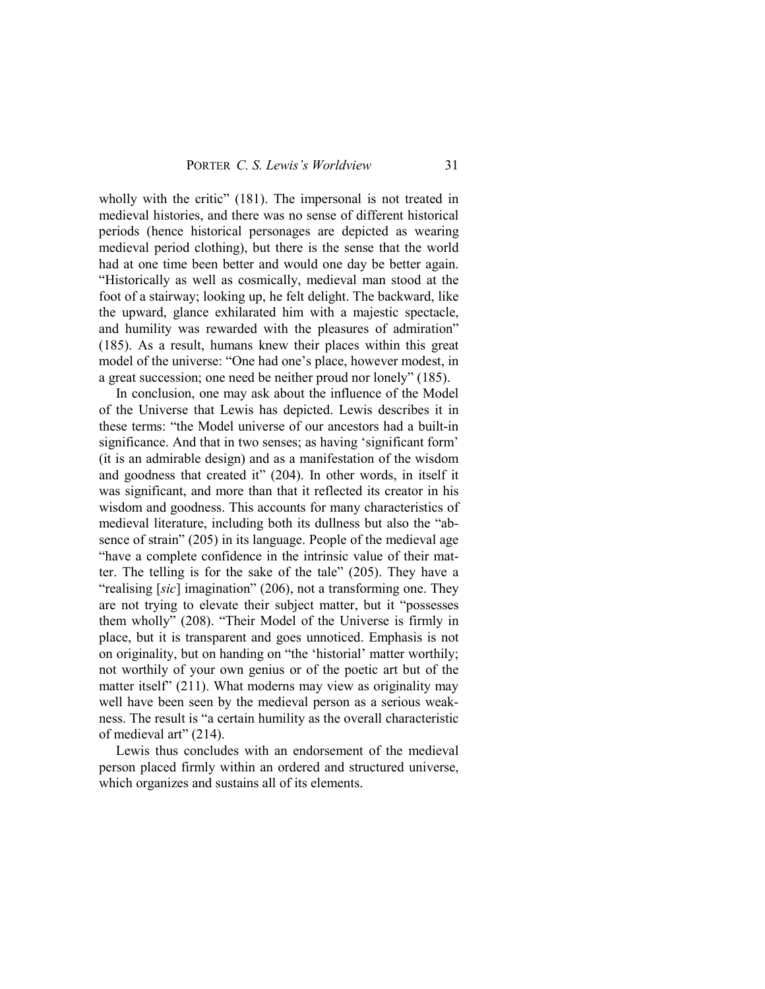wholly with the critic" (181). The impersonal is not treated in medieval histories, and there was no sense of different historical periods (hence historical personages are depicted as wearing medieval period clothing), but there is the sense that the world had at one time been better and would one day be better again. "Historically as well as cosmically, medieval man stood at the foot of a stairway; looking up, he felt delight. The backward, like the upward, glance exhilarated him with a majestic spectacle, and humility was rewarded with the pleasures of admiration" (185). As a result, humans knew their places within this great model of the universe: "One had one's place, however modest, in a great succession; one need be neither proud nor lonely" (185).

In conclusion, one may ask about the influence of the Model of the Universe that Lewis has depicted. Lewis describes it in these terms: "the Model universe of our ancestors had a built-in significance. And that in two senses; as having 'significant form' (it is an admirable design) and as a manifestation of the wisdom and goodness that created it" (204). In other words, in itself it was significant, and more than that it reflected its creator in his wisdom and goodness. This accounts for many characteristics of medieval literature, including both its dullness but also the "absence of strain" (205) in its language. People of the medieval age "have a complete confidence in the intrinsic value of their matter. The telling is for the sake of the tale" (205). They have a "realising [*sic*] imagination" (206), not a transforming one. They are not trying to elevate their subject matter, but it "possesses them wholly" (208). "Their Model of the Universe is firmly in place, but it is transparent and goes unnoticed. Emphasis is not on originality, but on handing on "the 'historial' matter worthily; not worthily of your own genius or of the poetic art but of the matter itself" (211). What moderns may view as originality may well have been seen by the medieval person as a serious weakness. The result is "a certain humility as the overall characteristic of medieval art" (214).

Lewis thus concludes with an endorsement of the medieval person placed firmly within an ordered and structured universe, which organizes and sustains all of its elements.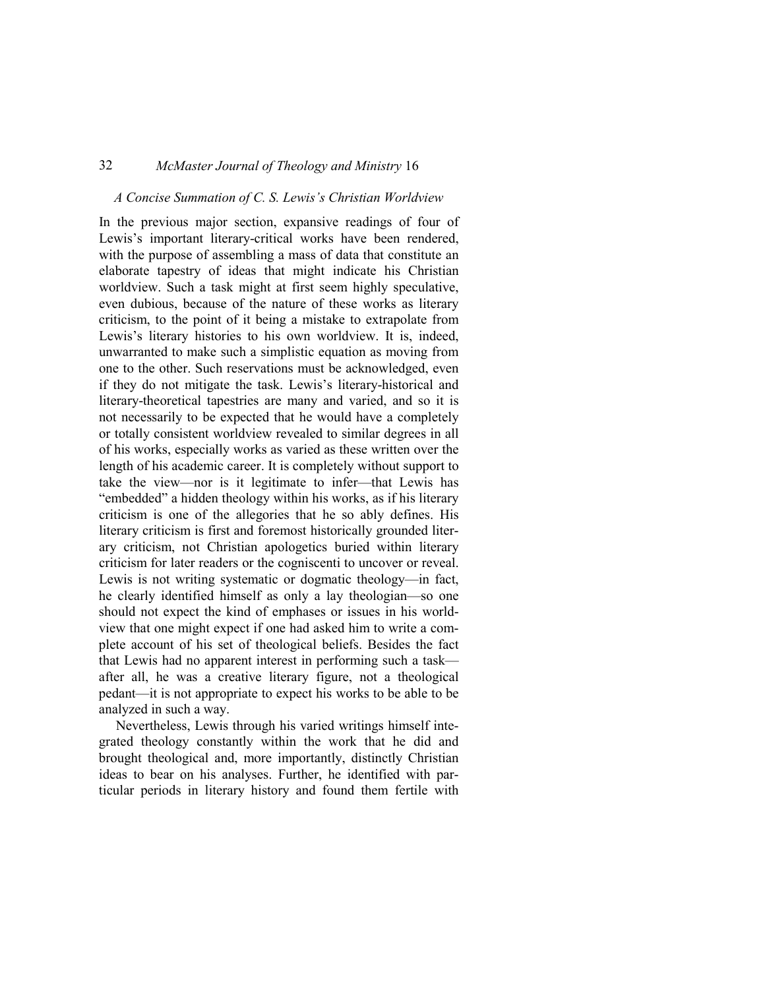### *A Concise Summation of C. S. Lewis's Christian Worldview*

In the previous major section, expansive readings of four of Lewis's important literary-critical works have been rendered, with the purpose of assembling a mass of data that constitute an elaborate tapestry of ideas that might indicate his Christian worldview. Such a task might at first seem highly speculative, even dubious, because of the nature of these works as literary criticism, to the point of it being a mistake to extrapolate from Lewis's literary histories to his own worldview. It is, indeed, unwarranted to make such a simplistic equation as moving from one to the other. Such reservations must be acknowledged, even if they do not mitigate the task. Lewis's literary-historical and literary-theoretical tapestries are many and varied, and so it is not necessarily to be expected that he would have a completely or totally consistent worldview revealed to similar degrees in all of his works, especially works as varied as these written over the length of his academic career. It is completely without support to take the view—nor is it legitimate to infer—that Lewis has "embedded" a hidden theology within his works, as if his literary criticism is one of the allegories that he so ably defines. His literary criticism is first and foremost historically grounded literary criticism, not Christian apologetics buried within literary criticism for later readers or the cogniscenti to uncover or reveal. Lewis is not writing systematic or dogmatic theology—in fact, he clearly identified himself as only a lay theologian—so one should not expect the kind of emphases or issues in his worldview that one might expect if one had asked him to write a complete account of his set of theological beliefs. Besides the fact that Lewis had no apparent interest in performing such a task after all, he was a creative literary figure, not a theological pedant—it is not appropriate to expect his works to be able to be analyzed in such a way.

Nevertheless, Lewis through his varied writings himself integrated theology constantly within the work that he did and brought theological and, more importantly, distinctly Christian ideas to bear on his analyses. Further, he identified with particular periods in literary history and found them fertile with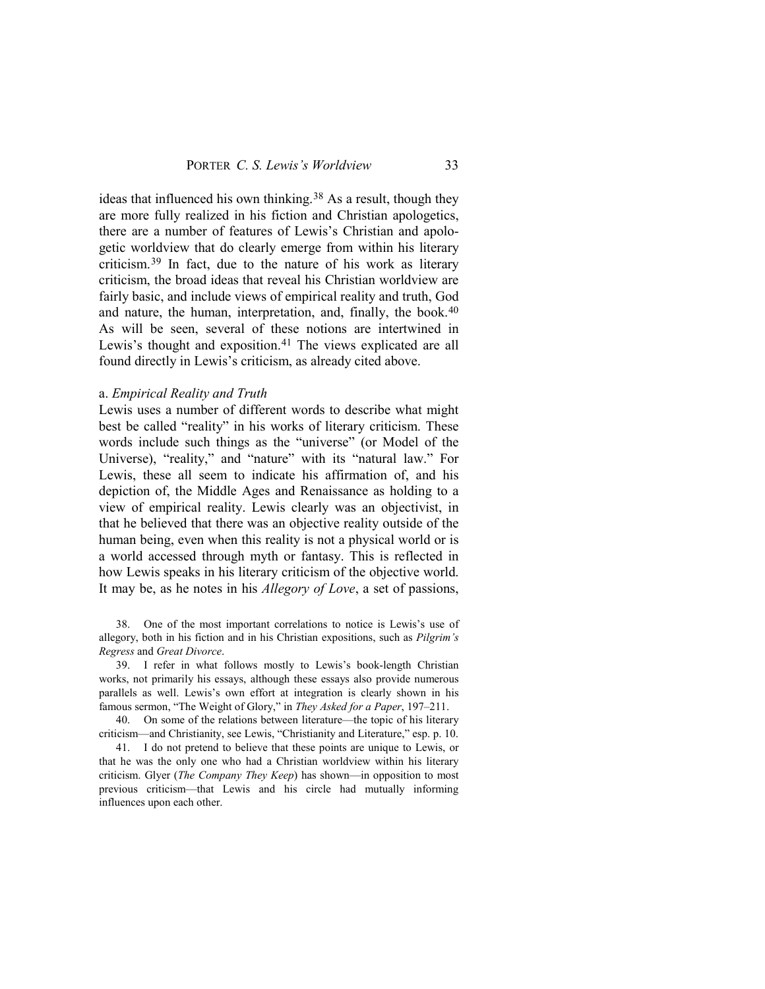ideas that influenced his own thinking.[38](#page-30-0) As a result, though they are more fully realized in his fiction and Christian apologetics, there are a number of features of Lewis's Christian and apologetic worldview that do clearly emerge from within his literary criticism.[39](#page-30-1) In fact, due to the nature of his work as literary criticism, the broad ideas that reveal his Christian worldview are fairly basic, and include views of empirical reality and truth, God and nature, the human, interpretation, and, finally, the book.<sup>[40](#page-30-2)</sup> As will be seen, several of these notions are intertwined in Lewis's thought and exposition.<sup>[41](#page-30-3)</sup> The views explicated are all found directly in Lewis's criticism, as already cited above.

### a. *Empirical Reality and Truth*

Lewis uses a number of different words to describe what might best be called "reality" in his works of literary criticism. These words include such things as the "universe" (or Model of the Universe), "reality," and "nature" with its "natural law." For Lewis, these all seem to indicate his affirmation of, and his depiction of, the Middle Ages and Renaissance as holding to a view of empirical reality. Lewis clearly was an objectivist, in that he believed that there was an objective reality outside of the human being, even when this reality is not a physical world or is a world accessed through myth or fantasy. This is reflected in how Lewis speaks in his literary criticism of the objective world. It may be, as he notes in his *Allegory of Love*, a set of passions,

<span id="page-30-0"></span>38. One of the most important correlations to notice is Lewis's use of allegory, both in his fiction and in his Christian expositions, such as *Pilgrim's Regress* and *Great Divorce*.

<span id="page-30-1"></span>39. I refer in what follows mostly to Lewis's book-length Christian works, not primarily his essays, although these essays also provide numerous parallels as well. Lewis's own effort at integration is clearly shown in his famous sermon, "The Weight of Glory," in *They Asked for a Paper*, 197–211.

<span id="page-30-2"></span>40. On some of the relations between literature—the topic of his literary criticism—and Christianity, see Lewis, "Christianity and Literature," esp. p. 10.

<span id="page-30-3"></span>41. I do not pretend to believe that these points are unique to Lewis, or that he was the only one who had a Christian worldview within his literary criticism. Glyer (*The Company They Keep*) has shown—in opposition to most previous criticism—that Lewis and his circle had mutually informing influences upon each other.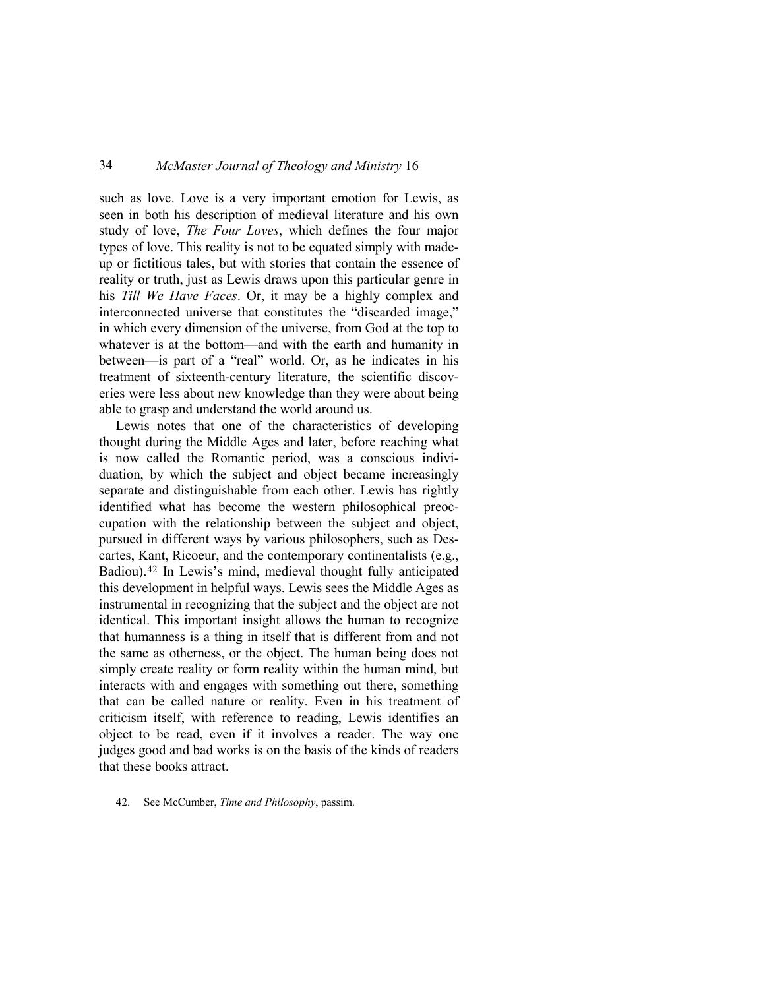such as love. Love is a very important emotion for Lewis, as seen in both his description of medieval literature and his own study of love, *The Four Loves*, which defines the four major types of love. This reality is not to be equated simply with madeup or fictitious tales, but with stories that contain the essence of reality or truth, just as Lewis draws upon this particular genre in his *Till We Have Faces*. Or, it may be a highly complex and interconnected universe that constitutes the "discarded image," in which every dimension of the universe, from God at the top to whatever is at the bottom—and with the earth and humanity in between—is part of a "real" world. Or, as he indicates in his treatment of sixteenth-century literature, the scientific discoveries were less about new knowledge than they were about being able to grasp and understand the world around us.

Lewis notes that one of the characteristics of developing thought during the Middle Ages and later, before reaching what is now called the Romantic period, was a conscious individuation, by which the subject and object became increasingly separate and distinguishable from each other. Lewis has rightly identified what has become the western philosophical preoccupation with the relationship between the subject and object, pursued in different ways by various philosophers, such as Descartes, Kant, Ricoeur, and the contemporary continentalists (e.g., Badiou).[42](#page-31-0) In Lewis's mind, medieval thought fully anticipated this development in helpful ways. Lewis sees the Middle Ages as instrumental in recognizing that the subject and the object are not identical. This important insight allows the human to recognize that humanness is a thing in itself that is different from and not the same as otherness, or the object. The human being does not simply create reality or form reality within the human mind, but interacts with and engages with something out there, something that can be called nature or reality. Even in his treatment of criticism itself, with reference to reading, Lewis identifies an object to be read, even if it involves a reader. The way one judges good and bad works is on the basis of the kinds of readers that these books attract.

<span id="page-31-0"></span>42. See McCumber, *Time and Philosophy*, passim.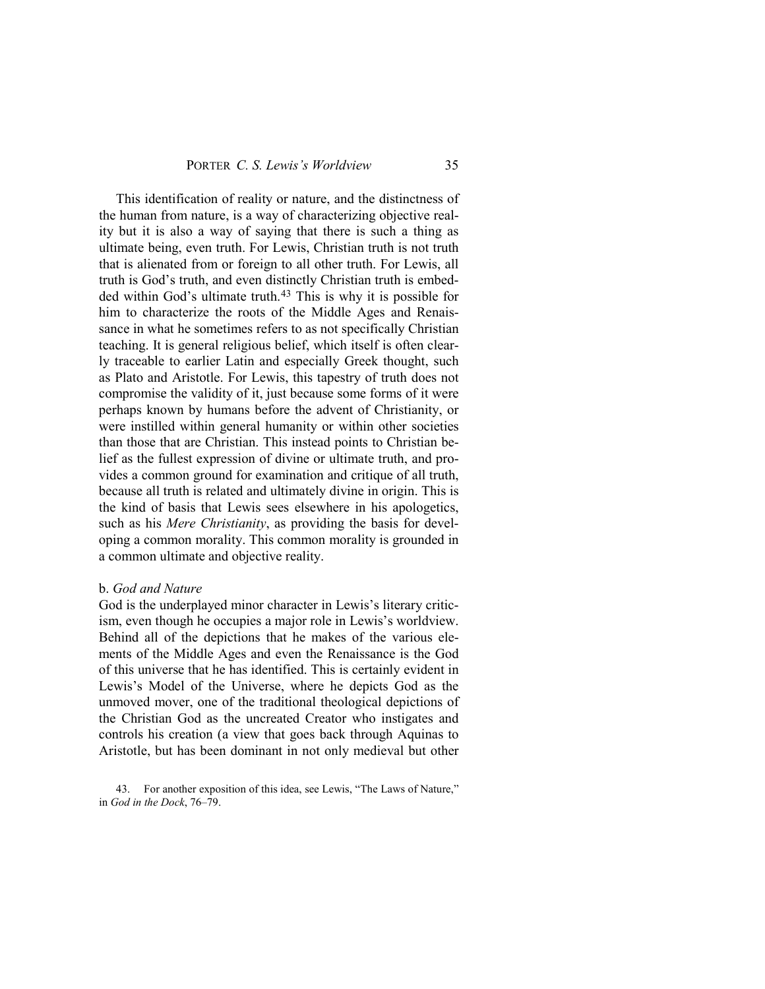This identification of reality or nature, and the distinctness of the human from nature, is a way of characterizing objective reality but it is also a way of saying that there is such a thing as ultimate being, even truth. For Lewis, Christian truth is not truth that is alienated from or foreign to all other truth. For Lewis, all truth is God's truth, and even distinctly Christian truth is embed-ded within God's ultimate truth.<sup>[43](#page-32-0)</sup> This is why it is possible for him to characterize the roots of the Middle Ages and Renaissance in what he sometimes refers to as not specifically Christian teaching. It is general religious belief, which itself is often clearly traceable to earlier Latin and especially Greek thought, such as Plato and Aristotle. For Lewis, this tapestry of truth does not compromise the validity of it, just because some forms of it were perhaps known by humans before the advent of Christianity, or were instilled within general humanity or within other societies than those that are Christian. This instead points to Christian belief as the fullest expression of divine or ultimate truth, and provides a common ground for examination and critique of all truth, because all truth is related and ultimately divine in origin. This is the kind of basis that Lewis sees elsewhere in his apologetics, such as his *Mere Christianity*, as providing the basis for developing a common morality. This common morality is grounded in a common ultimate and objective reality.

### b. *God and Nature*

God is the underplayed minor character in Lewis's literary criticism, even though he occupies a major role in Lewis's worldview. Behind all of the depictions that he makes of the various elements of the Middle Ages and even the Renaissance is the God of this universe that he has identified. This is certainly evident in Lewis's Model of the Universe, where he depicts God as the unmoved mover, one of the traditional theological depictions of the Christian God as the uncreated Creator who instigates and controls his creation (a view that goes back through Aquinas to Aristotle, but has been dominant in not only medieval but other

<span id="page-32-0"></span>43. For another exposition of this idea, see Lewis, "The Laws of Nature," in *God in the Dock*, 76–79.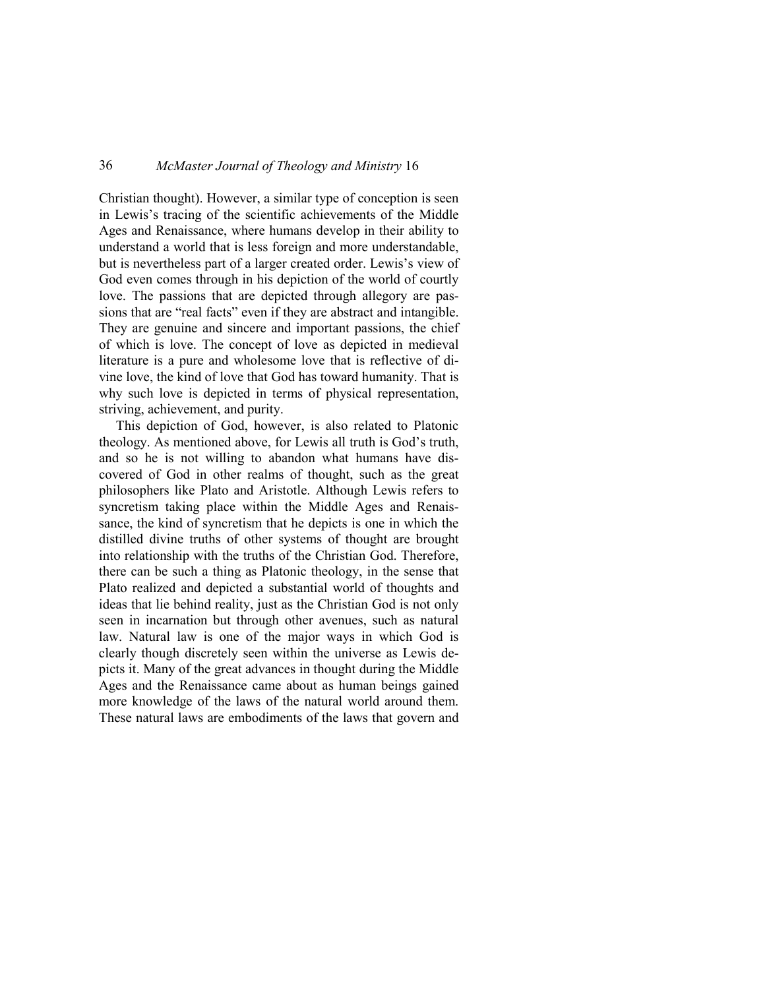Christian thought). However, a similar type of conception is seen in Lewis's tracing of the scientific achievements of the Middle Ages and Renaissance, where humans develop in their ability to understand a world that is less foreign and more understandable, but is nevertheless part of a larger created order. Lewis's view of God even comes through in his depiction of the world of courtly love. The passions that are depicted through allegory are passions that are "real facts" even if they are abstract and intangible. They are genuine and sincere and important passions, the chief of which is love. The concept of love as depicted in medieval literature is a pure and wholesome love that is reflective of divine love, the kind of love that God has toward humanity. That is why such love is depicted in terms of physical representation, striving, achievement, and purity.

This depiction of God, however, is also related to Platonic theology. As mentioned above, for Lewis all truth is God's truth, and so he is not willing to abandon what humans have discovered of God in other realms of thought, such as the great philosophers like Plato and Aristotle. Although Lewis refers to syncretism taking place within the Middle Ages and Renaissance, the kind of syncretism that he depicts is one in which the distilled divine truths of other systems of thought are brought into relationship with the truths of the Christian God. Therefore, there can be such a thing as Platonic theology, in the sense that Plato realized and depicted a substantial world of thoughts and ideas that lie behind reality, just as the Christian God is not only seen in incarnation but through other avenues, such as natural law. Natural law is one of the major ways in which God is clearly though discretely seen within the universe as Lewis depicts it. Many of the great advances in thought during the Middle Ages and the Renaissance came about as human beings gained more knowledge of the laws of the natural world around them. These natural laws are embodiments of the laws that govern and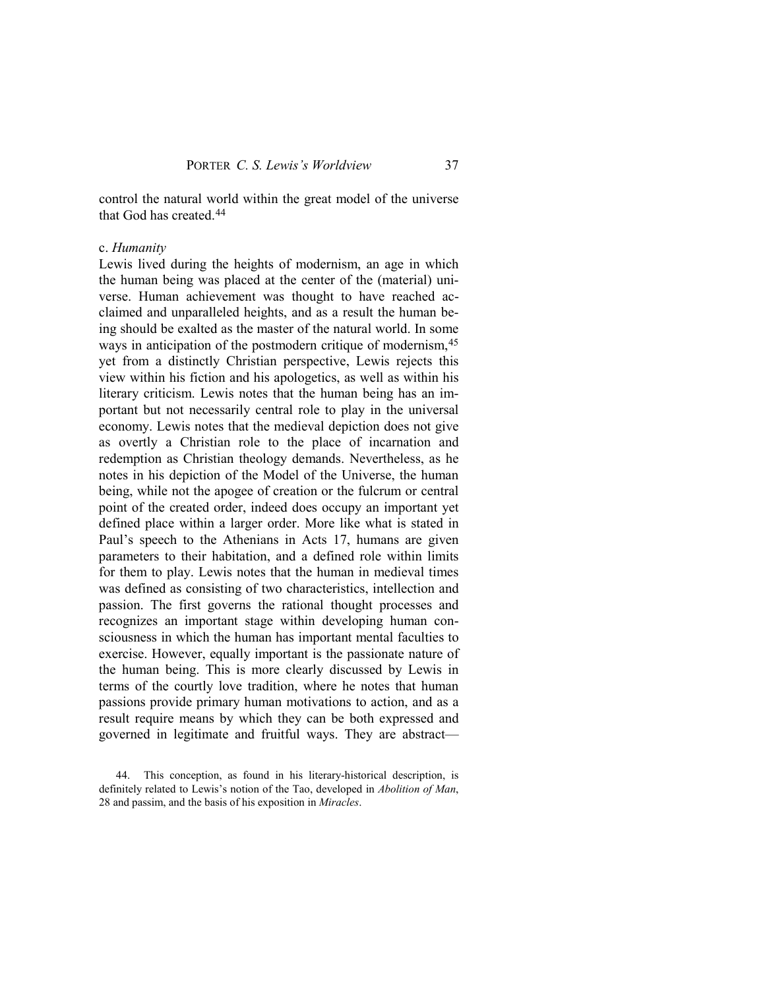control the natural world within the great model of the universe that God has created.[44](#page-34-0)

### c. *Humanity*

Lewis lived during the heights of modernism, an age in which the human being was placed at the center of the (material) universe. Human achievement was thought to have reached acclaimed and unparalleled heights, and as a result the human being should be exalted as the master of the natural world. In some ways in anticipation of the postmodern critique of modernism, [45](#page-34-1) yet from a distinctly Christian perspective, Lewis rejects this view within his fiction and his apologetics, as well as within his literary criticism. Lewis notes that the human being has an important but not necessarily central role to play in the universal economy. Lewis notes that the medieval depiction does not give as overtly a Christian role to the place of incarnation and redemption as Christian theology demands. Nevertheless, as he notes in his depiction of the Model of the Universe, the human being, while not the apogee of creation or the fulcrum or central point of the created order, indeed does occupy an important yet defined place within a larger order. More like what is stated in Paul's speech to the Athenians in Acts 17, humans are given parameters to their habitation, and a defined role within limits for them to play. Lewis notes that the human in medieval times was defined as consisting of two characteristics, intellection and passion. The first governs the rational thought processes and recognizes an important stage within developing human consciousness in which the human has important mental faculties to exercise. However, equally important is the passionate nature of the human being. This is more clearly discussed by Lewis in terms of the courtly love tradition, where he notes that human passions provide primary human motivations to action, and as a result require means by which they can be both expressed and governed in legitimate and fruitful ways. They are abstract—

<span id="page-34-1"></span><span id="page-34-0"></span><sup>44.</sup> This conception, as found in his literary-historical description, is definitely related to Lewis's notion of the Tao, developed in *Abolition of Man*, 28 and passim, and the basis of his exposition in *Miracles*.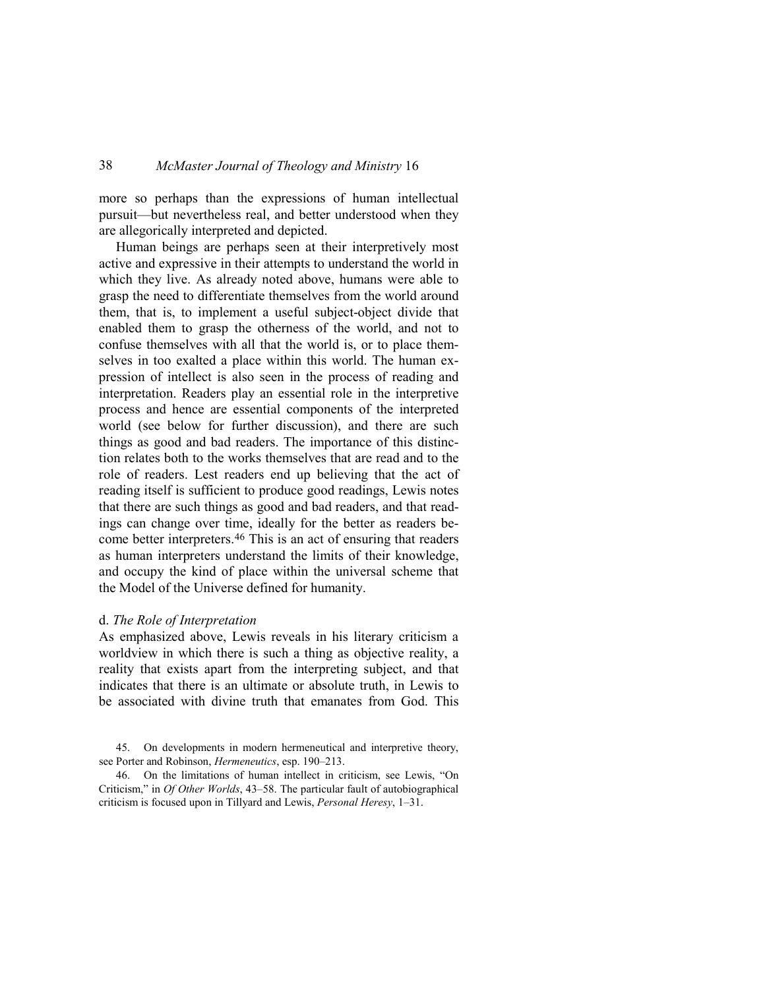more so perhaps than the expressions of human intellectual pursuit—but nevertheless real, and better understood when they are allegorically interpreted and depicted.

Human beings are perhaps seen at their interpretively most active and expressive in their attempts to understand the world in which they live. As already noted above, humans were able to grasp the need to differentiate themselves from the world around them, that is, to implement a useful subject-object divide that enabled them to grasp the otherness of the world, and not to confuse themselves with all that the world is, or to place themselves in too exalted a place within this world. The human expression of intellect is also seen in the process of reading and interpretation. Readers play an essential role in the interpretive process and hence are essential components of the interpreted world (see below for further discussion), and there are such things as good and bad readers. The importance of this distinction relates both to the works themselves that are read and to the role of readers. Lest readers end up believing that the act of reading itself is sufficient to produce good readings, Lewis notes that there are such things as good and bad readers, and that readings can change over time, ideally for the better as readers become better interpreters.[46](#page-35-0) This is an act of ensuring that readers as human interpreters understand the limits of their knowledge, and occupy the kind of place within the universal scheme that the Model of the Universe defined for humanity.

### d. *The Role of Interpretation*

As emphasized above, Lewis reveals in his literary criticism a worldview in which there is such a thing as objective reality, a reality that exists apart from the interpreting subject, and that indicates that there is an ultimate or absolute truth, in Lewis to be associated with divine truth that emanates from God. This

45. On developments in modern hermeneutical and interpretive theory, see Porter and Robinson, *Hermeneutics*, esp. 190–213.

<span id="page-35-0"></span>46. On the limitations of human intellect in criticism, see Lewis, "On Criticism," in *Of Other Worlds*, 43–58. The particular fault of autobiographical criticism is focused upon in Tillyard and Lewis, *Personal Heresy*, 1–31.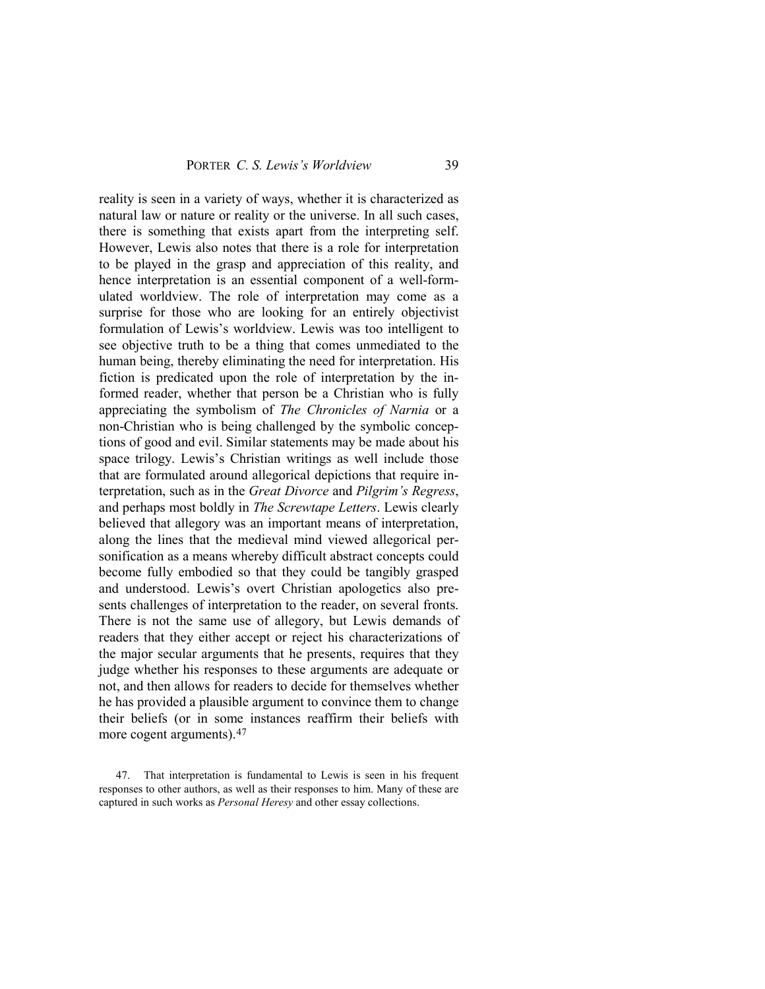reality is seen in a variety of ways, whether it is characterized as natural law or nature or reality or the universe. In all such cases, there is something that exists apart from the interpreting self. However, Lewis also notes that there is a role for interpretation to be played in the grasp and appreciation of this reality, and hence interpretation is an essential component of a well-formulated worldview. The role of interpretation may come as a surprise for those who are looking for an entirely objectivist formulation of Lewis's worldview. Lewis was too intelligent to see objective truth to be a thing that comes unmediated to the human being, thereby eliminating the need for interpretation. His fiction is predicated upon the role of interpretation by the informed reader, whether that person be a Christian who is fully appreciating the symbolism of *The Chronicles of Narnia* or a non-Christian who is being challenged by the symbolic conceptions of good and evil. Similar statements may be made about his space trilogy. Lewis's Christian writings as well include those that are formulated around allegorical depictions that require interpretation, such as in the *Great Divorce* and *Pilgrim's Regress*, and perhaps most boldly in *The Screwtape Letters*. Lewis clearly believed that allegory was an important means of interpretation, along the lines that the medieval mind viewed allegorical personification as a means whereby difficult abstract concepts could become fully embodied so that they could be tangibly grasped and understood. Lewis's overt Christian apologetics also presents challenges of interpretation to the reader, on several fronts. There is not the same use of allegory, but Lewis demands of readers that they either accept or reject his characterizations of the major secular arguments that he presents, requires that they judge whether his responses to these arguments are adequate or not, and then allows for readers to decide for themselves whether he has provided a plausible argument to convince them to change their beliefs (or in some instances reaffirm their beliefs with more cogent arguments).<sup>[47](#page-36-0)</sup>

<span id="page-36-0"></span><sup>47.</sup> That interpretation is fundamental to Lewis is seen in his frequent responses to other authors, as well as their responses to him. Many of these are captured in such works as *Personal Heresy* and other essay collections.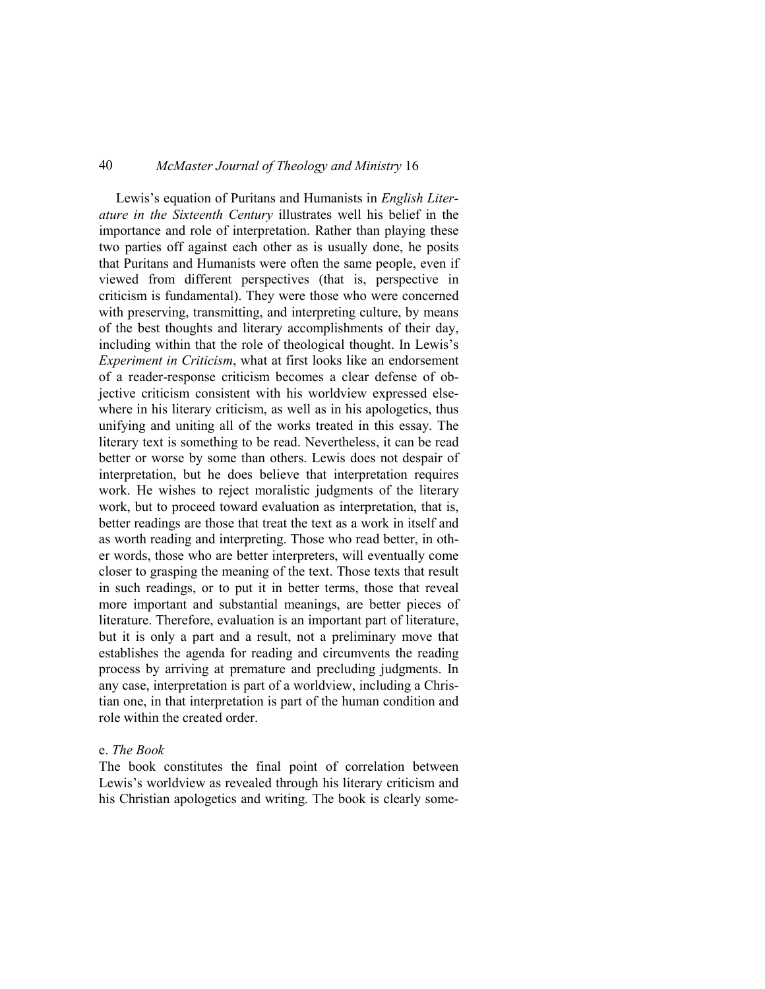Lewis's equation of Puritans and Humanists in *English Literature in the Sixteenth Century* illustrates well his belief in the importance and role of interpretation. Rather than playing these two parties off against each other as is usually done, he posits that Puritans and Humanists were often the same people, even if viewed from different perspectives (that is, perspective in criticism is fundamental). They were those who were concerned with preserving, transmitting, and interpreting culture, by means of the best thoughts and literary accomplishments of their day, including within that the role of theological thought. In Lewis's *Experiment in Criticism*, what at first looks like an endorsement of a reader-response criticism becomes a clear defense of objective criticism consistent with his worldview expressed elsewhere in his literary criticism, as well as in his apologetics, thus unifying and uniting all of the works treated in this essay. The literary text is something to be read. Nevertheless, it can be read better or worse by some than others. Lewis does not despair of interpretation, but he does believe that interpretation requires work. He wishes to reject moralistic judgments of the literary work, but to proceed toward evaluation as interpretation, that is, better readings are those that treat the text as a work in itself and as worth reading and interpreting. Those who read better, in other words, those who are better interpreters, will eventually come closer to grasping the meaning of the text. Those texts that result in such readings, or to put it in better terms, those that reveal more important and substantial meanings, are better pieces of literature. Therefore, evaluation is an important part of literature, but it is only a part and a result, not a preliminary move that establishes the agenda for reading and circumvents the reading process by arriving at premature and precluding judgments. In any case, interpretation is part of a worldview, including a Christian one, in that interpretation is part of the human condition and role within the created order.

### e. *The Book*

The book constitutes the final point of correlation between Lewis's worldview as revealed through his literary criticism and his Christian apologetics and writing. The book is clearly some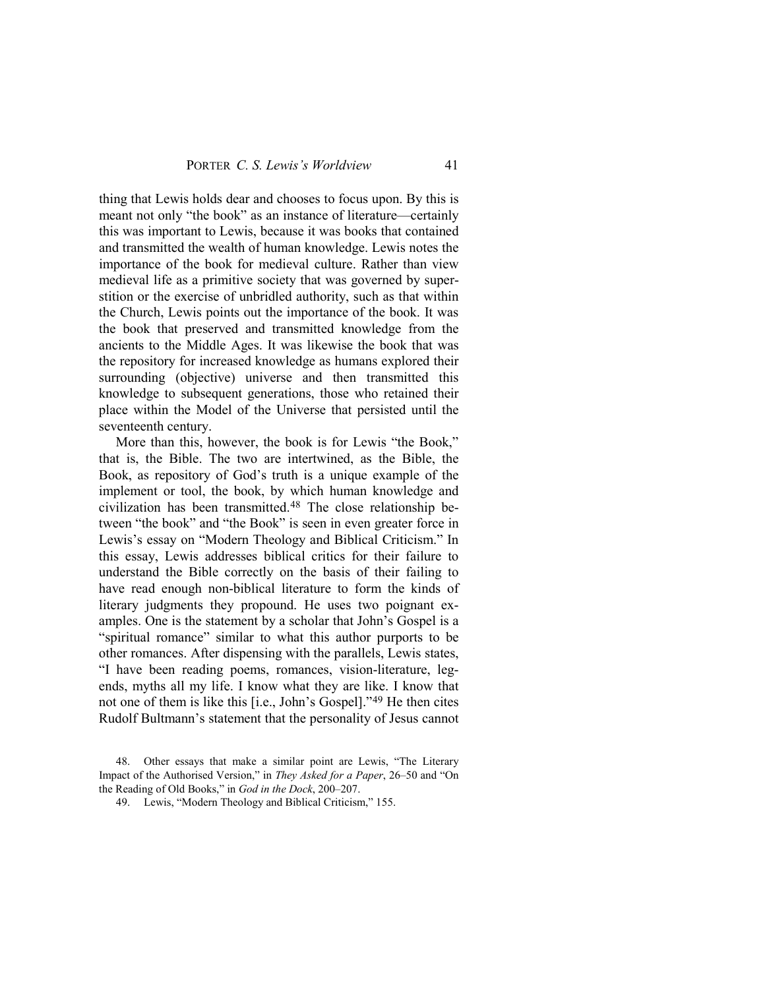thing that Lewis holds dear and chooses to focus upon. By this is meant not only "the book" as an instance of literature—certainly this was important to Lewis, because it was books that contained and transmitted the wealth of human knowledge. Lewis notes the importance of the book for medieval culture. Rather than view medieval life as a primitive society that was governed by superstition or the exercise of unbridled authority, such as that within the Church, Lewis points out the importance of the book. It was the book that preserved and transmitted knowledge from the ancients to the Middle Ages. It was likewise the book that was the repository for increased knowledge as humans explored their surrounding (objective) universe and then transmitted this knowledge to subsequent generations, those who retained their place within the Model of the Universe that persisted until the seventeenth century.

More than this, however, the book is for Lewis "the Book," that is, the Bible. The two are intertwined, as the Bible, the Book, as repository of God's truth is a unique example of the implement or tool, the book, by which human knowledge and civilization has been transmitted.[48](#page-38-0) The close relationship between "the book" and "the Book" is seen in even greater force in Lewis's essay on "Modern Theology and Biblical Criticism." In this essay, Lewis addresses biblical critics for their failure to understand the Bible correctly on the basis of their failing to have read enough non-biblical literature to form the kinds of literary judgments they propound. He uses two poignant examples. One is the statement by a scholar that John's Gospel is a "spiritual romance" similar to what this author purports to be other romances. After dispensing with the parallels, Lewis states, "I have been reading poems, romances, vision-literature, legends, myths all my life. I know what they are like. I know that not one of them is like this [i.e., John's Gospel]."[49](#page-38-1) He then cites Rudolf Bultmann's statement that the personality of Jesus cannot

<span id="page-38-1"></span><span id="page-38-0"></span><sup>48.</sup> Other essays that make a similar point are Lewis, "The Literary Impact of the Authorised Version," in *They Asked for a Paper*, 26–50 and "On the Reading of Old Books," in *God in the Dock*, 200–207.

<sup>49.</sup> Lewis, "Modern Theology and Biblical Criticism," 155.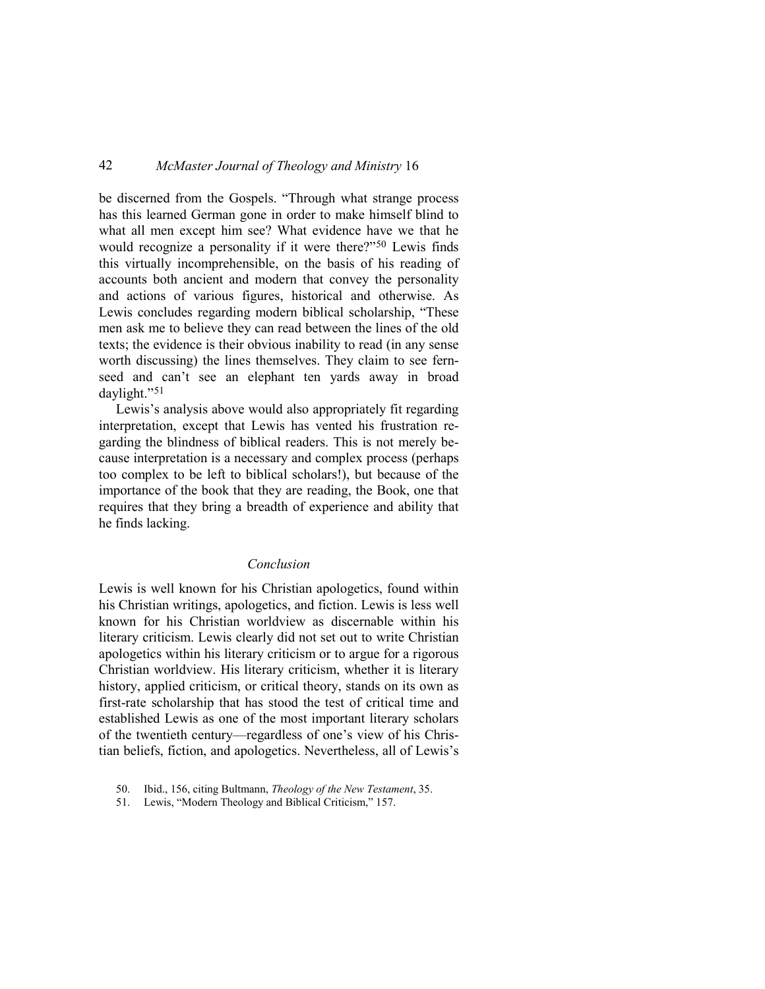be discerned from the Gospels. "Through what strange process has this learned German gone in order to make himself blind to what all men except him see? What evidence have we that he would recognize a personality if it were there?"[50](#page-39-0) Lewis finds this virtually incomprehensible, on the basis of his reading of accounts both ancient and modern that convey the personality and actions of various figures, historical and otherwise. As Lewis concludes regarding modern biblical scholarship, "These men ask me to believe they can read between the lines of the old texts; the evidence is their obvious inability to read (in any sense worth discussing) the lines themselves. They claim to see fernseed and can't see an elephant ten yards away in broad daylight."[51](#page-39-1)

Lewis's analysis above would also appropriately fit regarding interpretation, except that Lewis has vented his frustration regarding the blindness of biblical readers. This is not merely because interpretation is a necessary and complex process (perhaps too complex to be left to biblical scholars!), but because of the importance of the book that they are reading, the Book, one that requires that they bring a breadth of experience and ability that he finds lacking.

### *Conclusion*

Lewis is well known for his Christian apologetics, found within his Christian writings, apologetics, and fiction. Lewis is less well known for his Christian worldview as discernable within his literary criticism. Lewis clearly did not set out to write Christian apologetics within his literary criticism or to argue for a rigorous Christian worldview. His literary criticism, whether it is literary history, applied criticism, or critical theory, stands on its own as first-rate scholarship that has stood the test of critical time and established Lewis as one of the most important literary scholars of the twentieth century—regardless of one's view of his Christian beliefs, fiction, and apologetics. Nevertheless, all of Lewis's

<span id="page-39-0"></span><sup>50.</sup> Ibid., 156, citing Bultmann, *Theology of the New Testament*, 35.

<span id="page-39-1"></span><sup>51.</sup> Lewis, "Modern Theology and Biblical Criticism," 157.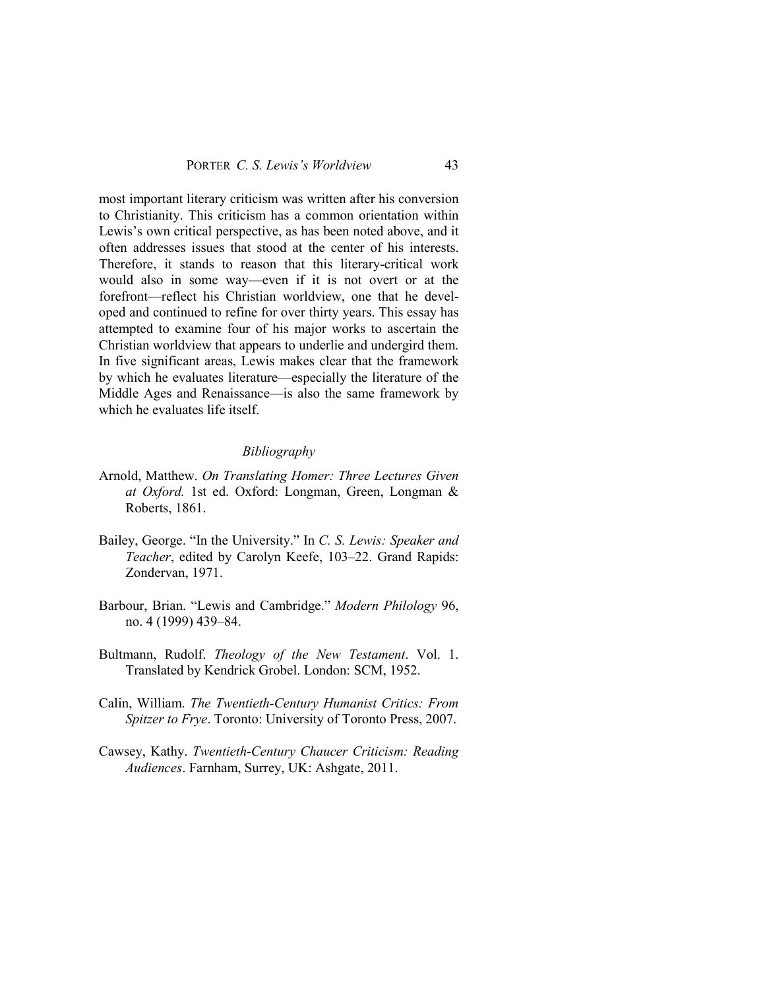most important literary criticism was written after his conversion to Christianity. This criticism has a common orientation within Lewis's own critical perspective, as has been noted above, and it often addresses issues that stood at the center of his interests. Therefore, it stands to reason that this literary-critical work would also in some way—even if it is not overt or at the forefront—reflect his Christian worldview, one that he developed and continued to refine for over thirty years. This essay has attempted to examine four of his major works to ascertain the Christian worldview that appears to underlie and undergird them. In five significant areas, Lewis makes clear that the framework by which he evaluates literature—especially the literature of the Middle Ages and Renaissance—is also the same framework by which he evaluates life itself.

### *Bibliography*

- Arnold, Matthew. *On Translating Homer: Three Lectures Given at Oxford.* 1st ed. Oxford: Longman, Green, Longman & Roberts, 1861.
- Bailey, George. "In the University." In *C. S. Lewis: Speaker and Teacher*, edited by Carolyn Keefe, 103–22. Grand Rapids: Zondervan, 1971.
- Barbour, Brian. "Lewis and Cambridge." *Modern Philology* 96, no. 4 (1999) 439–84.
- Bultmann, Rudolf. *Theology of the New Testament*. Vol. 1. Translated by Kendrick Grobel. London: SCM, 1952.
- Calin, William. *The Twentieth-Century Humanist Critics: From Spitzer to Frye*. Toronto: University of Toronto Press, 2007.
- Cawsey, Kathy. *Twentieth-Century Chaucer Criticism: Reading Audiences*. Farnham, Surrey, UK: Ashgate, 2011.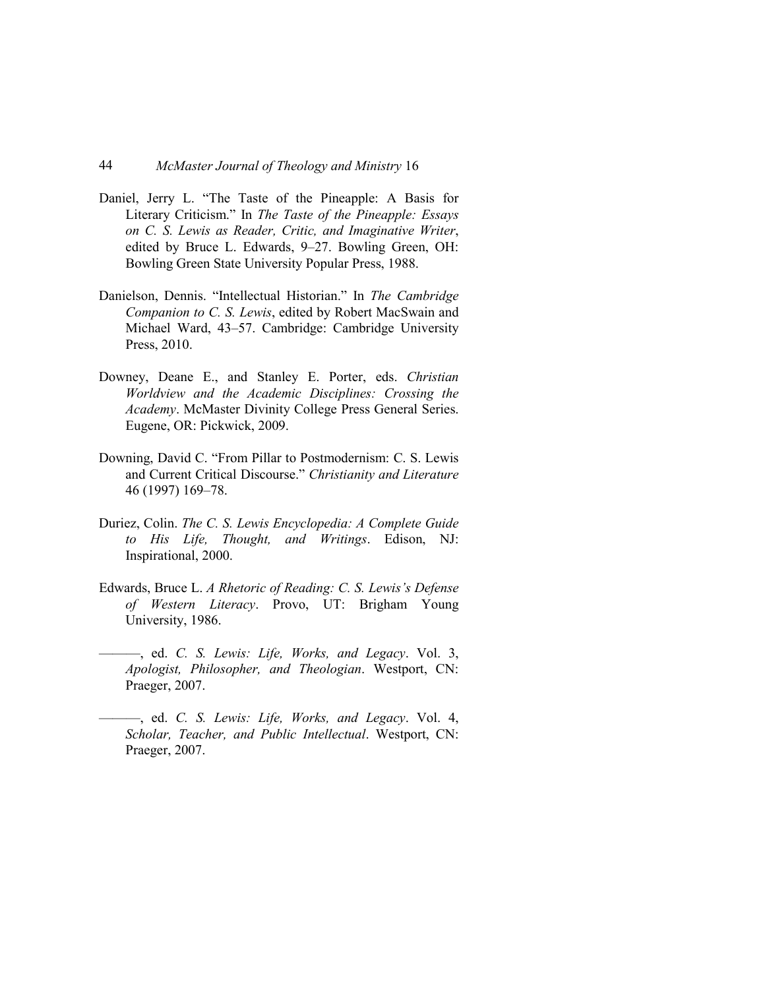- Daniel, Jerry L. "The Taste of the Pineapple: A Basis for Literary Criticism." In *The Taste of the Pineapple: Essays on C. S. Lewis as Reader, Critic, and Imaginative Writer*, edited by Bruce L. Edwards, 9–27. Bowling Green, OH: Bowling Green State University Popular Press, 1988.
- Danielson, Dennis. "Intellectual Historian." In *The Cambridge Companion to C. S. Lewis*, edited by Robert MacSwain and Michael Ward, 43–57. Cambridge: Cambridge University Press, 2010.
- Downey, Deane E., and Stanley E. Porter, eds. *Christian Worldview and the Academic Disciplines: Crossing the Academy*. McMaster Divinity College Press General Series. Eugene, OR: Pickwick, 2009.
- Downing, David C. "From Pillar to Postmodernism: C. S. Lewis and Current Critical Discourse." *Christianity and Literature* 46 (1997) 169–78.
- Duriez, Colin. *The C. S. Lewis Encyclopedia: A Complete Guide to His Life, Thought, and Writings*. Edison, NJ: Inspirational, 2000.
- Edwards, Bruce L. *A Rhetoric of Reading: C. S. Lewis's Defense of Western Literacy*. Provo, UT: Brigham Young University, 1986.
- ———, ed. *C. S. Lewis: Life, Works, and Legacy*. Vol. 3, *Apologist, Philosopher, and Theologian*. Westport, CN: Praeger, 2007.
- ———, ed. *C. S. Lewis: Life, Works, and Legacy*. Vol. 4, *Scholar, Teacher, and Public Intellectual*. Westport, CN: Praeger, 2007.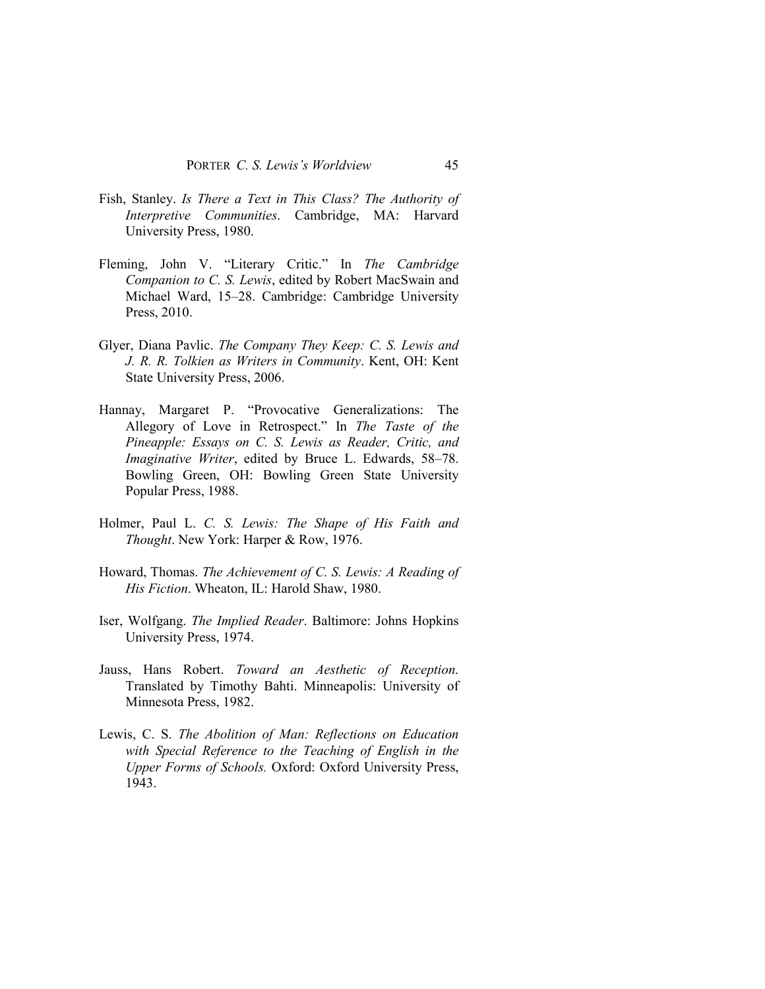- Fish, Stanley. *Is There a Text in This Class? The Authority of Interpretive Communities*. Cambridge, MA: Harvard University Press, 1980.
- Fleming, John V. "Literary Critic." In *The Cambridge Companion to C. S. Lewis*, edited by Robert MacSwain and Michael Ward, 15–28. Cambridge: Cambridge University Press, 2010.
- Glyer, Diana Pavlic. *The Company They Keep: C. S. Lewis and J. R. R. Tolkien as Writers in Community*. Kent, OH: Kent State University Press, 2006.
- Hannay, Margaret P. "Provocative Generalizations: The Allegory of Love in Retrospect." In *The Taste of the Pineapple: Essays on C. S. Lewis as Reader, Critic, and Imaginative Writer*, edited by Bruce L. Edwards, 58–78. Bowling Green, OH: Bowling Green State University Popular Press, 1988.
- Holmer, Paul L. *C. S. Lewis: The Shape of His Faith and Thought*. New York: Harper & Row, 1976.
- Howard, Thomas. *The Achievement of C. S. Lewis: A Reading of His Fiction*. Wheaton, IL: Harold Shaw, 1980.
- Iser, Wolfgang. *The Implied Reader*. Baltimore: Johns Hopkins University Press, 1974.
- Jauss, Hans Robert. *Toward an Aesthetic of Reception*. Translated by Timothy Bahti. Minneapolis: University of Minnesota Press, 1982.
- Lewis, C. S. *The Abolition of Man: Reflections on Education with Special Reference to the Teaching of English in the Upper Forms of Schools.* Oxford: Oxford University Press, 1943.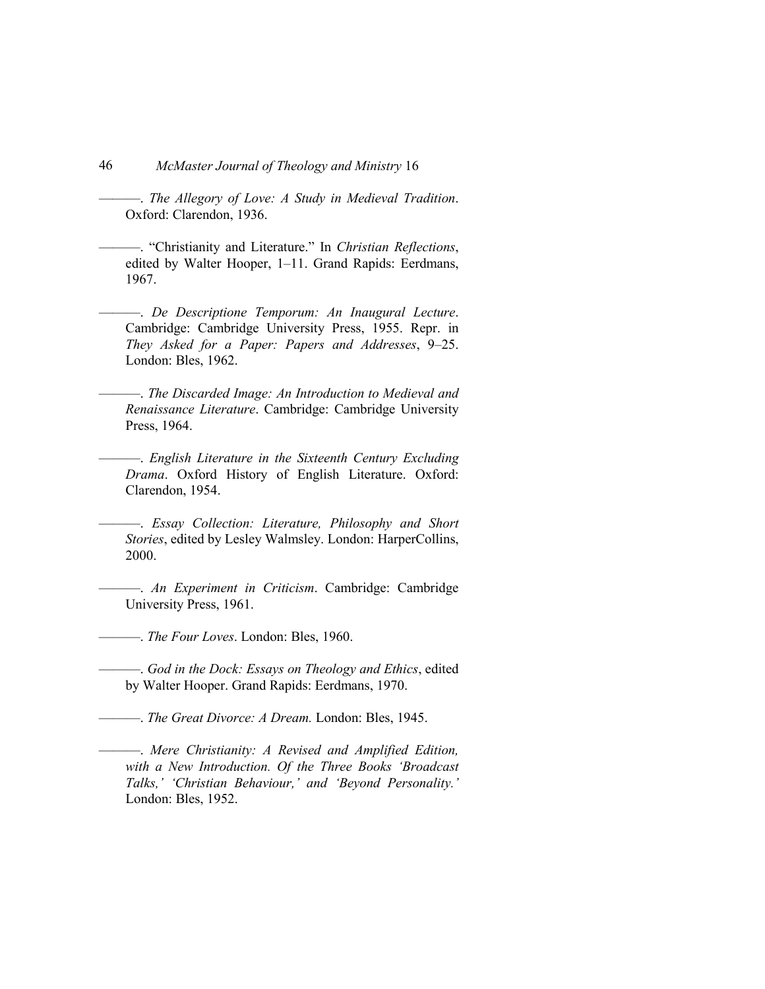- 46 *McMaster Journal of Theology and Ministry* 16
	- ———. *The Allegory of Love: A Study in Medieval Tradition*. Oxford: Clarendon, 1936.
- ———. "Christianity and Literature." In *Christian Reflections*, edited by Walter Hooper, 1–11. Grand Rapids: Eerdmans, 1967.
- ———. *De Descriptione Temporum: An Inaugural Lecture*. Cambridge: Cambridge University Press, 1955. Repr. in *They Asked for a Paper: Papers and Addresses*, 9–25. London: Bles, 1962.
- ———. *The Discarded Image: An Introduction to Medieval and Renaissance Literature*. Cambridge: Cambridge University Press, 1964.
- ———. *English Literature in the Sixteenth Century Excluding Drama*. Oxford History of English Literature. Oxford: Clarendon, 1954.
- ———. *Essay Collection: Literature, Philosophy and Short Stories*, edited by Lesley Walmsley. London: HarperCollins, 2000.
- ———. *An Experiment in Criticism*. Cambridge: Cambridge University Press, 1961.

———. *The Four Loves*. London: Bles, 1960.

- ———. *God in the Dock: Essays on Theology and Ethics*, edited by Walter Hooper. Grand Rapids: Eerdmans, 1970.
- ———. *The Great Divorce: A Dream.* London: Bles, 1945.
	- ———. *Mere Christianity: A Revised and Amplified Edition, with a New Introduction. Of the Three Books 'Broadcast Talks,' 'Christian Behaviour,' and 'Beyond Personality.'* London: Bles, 1952.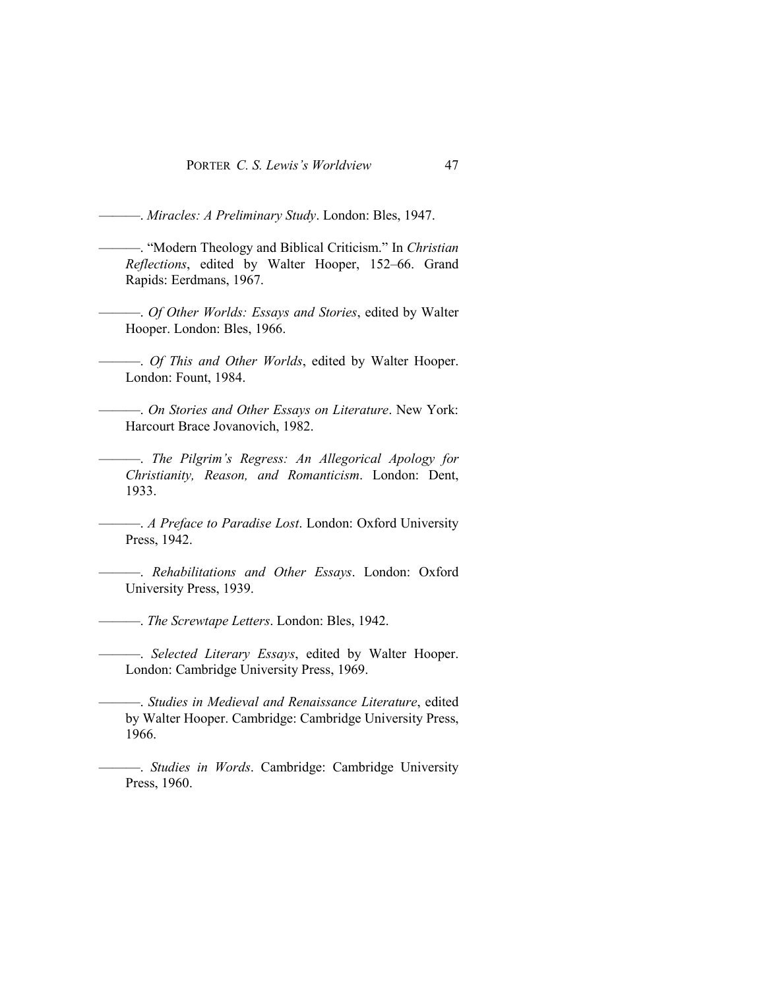———. *Miracles: A Preliminary Study*. London: Bles, 1947.

- ———. "Modern Theology and Biblical Criticism." In *Christian Reflections*, edited by Walter Hooper, 152–66. Grand Rapids: Eerdmans, 1967.
- ———. *Of Other Worlds: Essays and Stories*, edited by Walter Hooper. London: Bles, 1966.

———. *Of This and Other Worlds*, edited by Walter Hooper. London: Fount, 1984.

———. *On Stories and Other Essays on Literature*. New York: Harcourt Brace Jovanovich, 1982.

———. *The Pilgrim's Regress: An Allegorical Apology for Christianity, Reason, and Romanticism*. London: Dent, 1933.

———. *A Preface to Paradise Lost*. London: Oxford University Press, 1942.

———. *Rehabilitations and Other Essays*. London: Oxford University Press, 1939.

———. *The Screwtape Letters*. London: Bles, 1942.

———. *Selected Literary Essays*, edited by Walter Hooper. London: Cambridge University Press, 1969.

———. *Studies in Medieval and Renaissance Literature*, edited by Walter Hooper. Cambridge: Cambridge University Press, 1966.

———. *Studies in Words*. Cambridge: Cambridge University Press, 1960.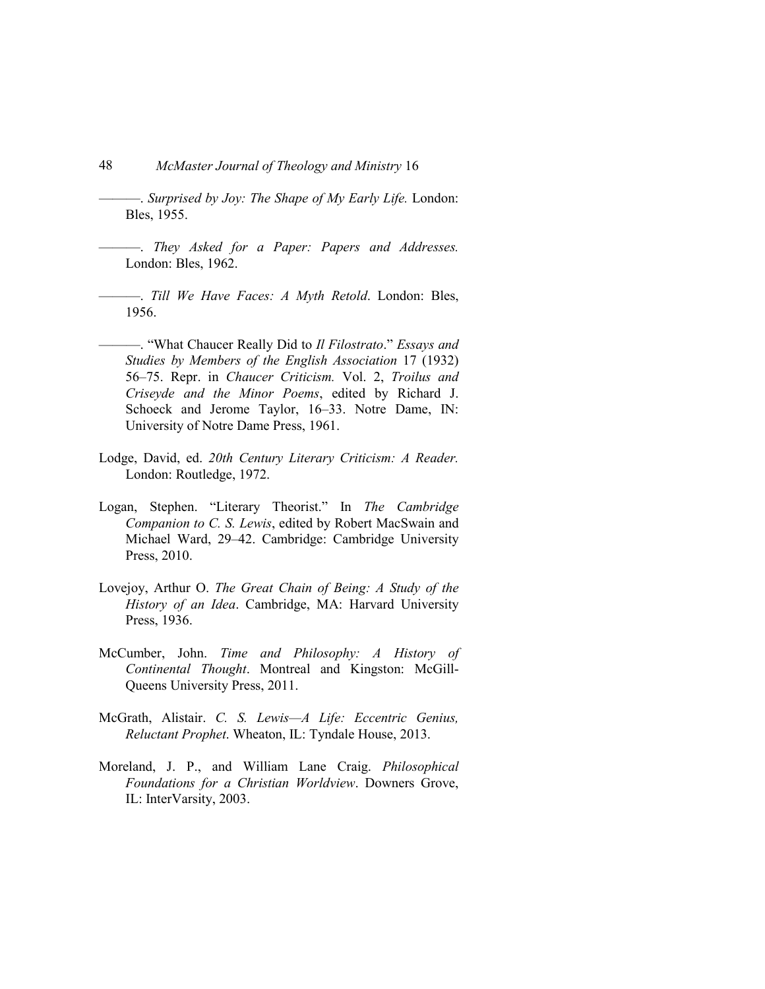- 48 *McMaster Journal of Theology and Ministry* 16
- ———. *Surprised by Joy: The Shape of My Early Life.* London: Bles, 1955.
- ———. *They Asked for a Paper: Papers and Addresses.* London: Bles, 1962.
- ———. *Till We Have Faces: A Myth Retold*. London: Bles, 1956.
- ———. "What Chaucer Really Did to *Il Filostrato*." *Essays and Studies by Members of the English Association* 17 (1932) 56–75. Repr. in *Chaucer Criticism.* Vol. 2, *Troilus and Criseyde and the Minor Poems*, edited by Richard J. Schoeck and Jerome Taylor, 16–33. Notre Dame, IN: University of Notre Dame Press, 1961.
- Lodge, David, ed. *20th Century Literary Criticism: A Reader.* London: Routledge, 1972.
- Logan, Stephen. "Literary Theorist." In *The Cambridge Companion to C. S. Lewis*, edited by Robert MacSwain and Michael Ward, 29–42. Cambridge: Cambridge University Press, 2010.
- Lovejoy, Arthur O. *The Great Chain of Being: A Study of the History of an Idea*. Cambridge, MA: Harvard University Press, 1936.
- McCumber, John. *Time and Philosophy: A History of Continental Thought*. Montreal and Kingston: McGill-Queens University Press, 2011.
- McGrath, Alistair. *C. S. Lewis—A Life: Eccentric Genius, Reluctant Prophet*. Wheaton, IL: Tyndale House, 2013.
- Moreland, J. P., and William Lane Craig. *Philosophical Foundations for a Christian Worldview*. Downers Grove, IL: InterVarsity, 2003.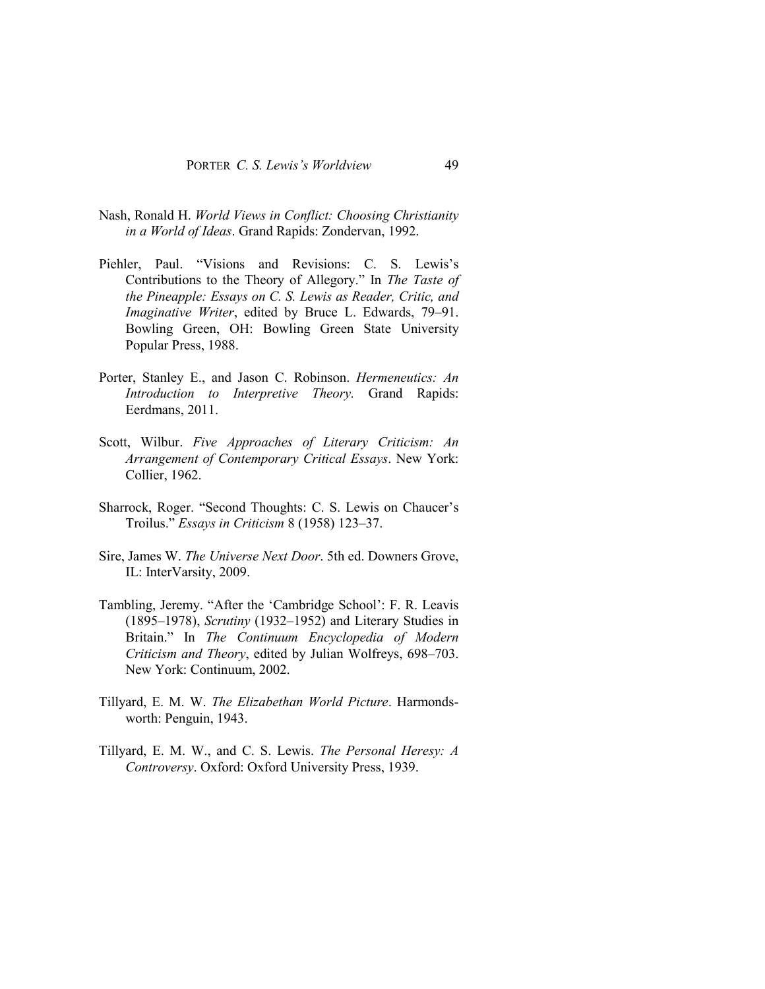- Nash, Ronald H. *World Views in Conflict: Choosing Christianity in a World of Ideas*. Grand Rapids: Zondervan, 1992.
- Piehler, Paul. "Visions and Revisions: C. S. Lewis's Contributions to the Theory of Allegory." In *The Taste of the Pineapple: Essays on C. S. Lewis as Reader, Critic, and Imaginative Writer*, edited by Bruce L. Edwards, 79–91. Bowling Green, OH: Bowling Green State University Popular Press, 1988.
- Porter, Stanley E., and Jason C. Robinson. *Hermeneutics: An Introduction to Interpretive Theory.* Grand Rapids: Eerdmans, 2011.
- Scott, Wilbur. *Five Approaches of Literary Criticism: An Arrangement of Contemporary Critical Essays*. New York: Collier, 1962.
- Sharrock, Roger. "Second Thoughts: C. S. Lewis on Chaucer's Troilus." *Essays in Criticism* 8 (1958) 123–37.
- Sire, James W. *The Universe Next Door*. 5th ed. Downers Grove, IL: InterVarsity, 2009.
- Tambling, Jeremy. "After the 'Cambridge School': F. R. Leavis (1895–1978), *Scrutiny* (1932–1952) and Literary Studies in Britain." In *The Continuum Encyclopedia of Modern Criticism and Theory*, edited by Julian Wolfreys, 698–703. New York: Continuum, 2002.
- Tillyard, E. M. W. *The Elizabethan World Picture*. Harmondsworth: Penguin, 1943.
- Tillyard, E. M. W., and C. S. Lewis. *The Personal Heresy: A Controversy*. Oxford: Oxford University Press, 1939.